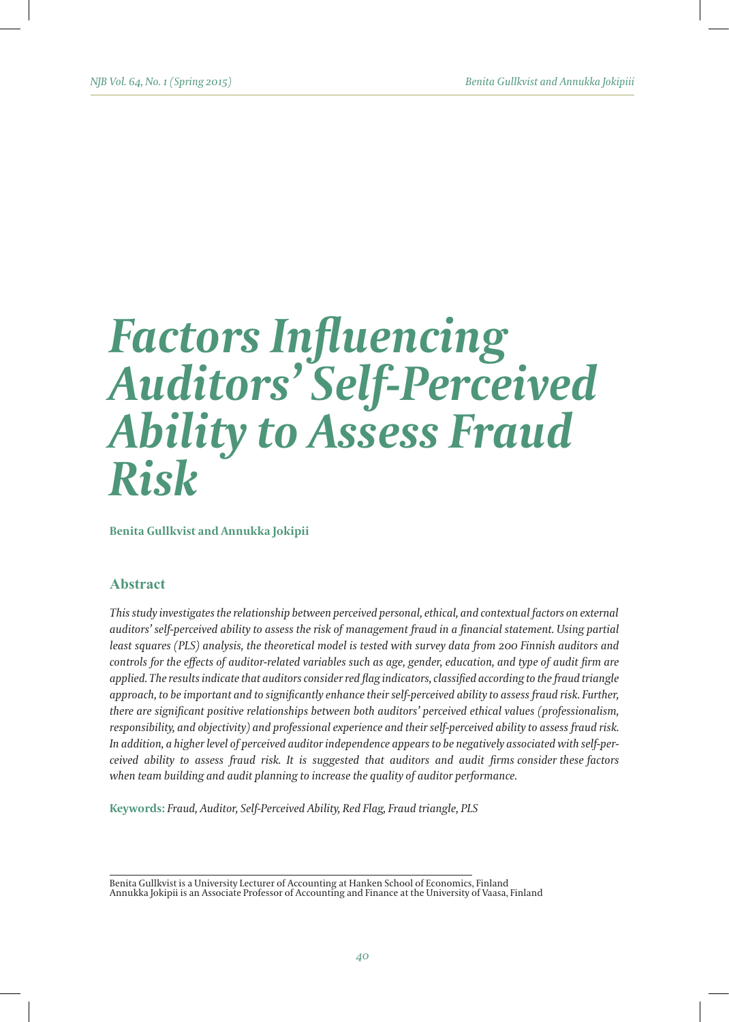# *Factors Influencing Auditors' Self-Perceived Ability to Assess Fraud Risk*

**Benita Gullkvist and Annukka Jokipii** 

# **Abstract**

*This study investigates the relationship between perceived personal, ethical, and contextual factors on external auditors' self-perceived ability to assess the risk of management fraud in a financial statement. Using partial least squares (PLS) analysis, the theoretical model is tested with survey data from 200 Finnish auditors and controls for the effects of auditor-related variables such as age, gender, education, and type of audit firm are applied. The results indicate that auditors consider red flag indicators, classified according to the fraud triangle approach, to be important and to significantly enhance their self-perceived ability to assess fraud risk. Further, there are significant positive relationships between both auditors' perceived ethical values (professionalism, responsibility, and objectivity) and professional experience and their self-perceived ability to assess fraud risk. In addition, a higher level of perceived auditor independence appears to be negatively associated with self-perceived ability to assess fraud risk. It is suggested that auditors and audit firms consider these factors when team building and audit planning to increase the quality of auditor performance.*

**Keywords:** *Fraud, Auditor, Self-Perceived Ability, Red Flag, Fraud triangle, PLS*

Benita Gullkvist is a University Lecturer of Accounting at Hanken School of Economics, Finland Annukka Jokipii is an Associate Professor of Accounting and Finance at the University of Vaasa, Finland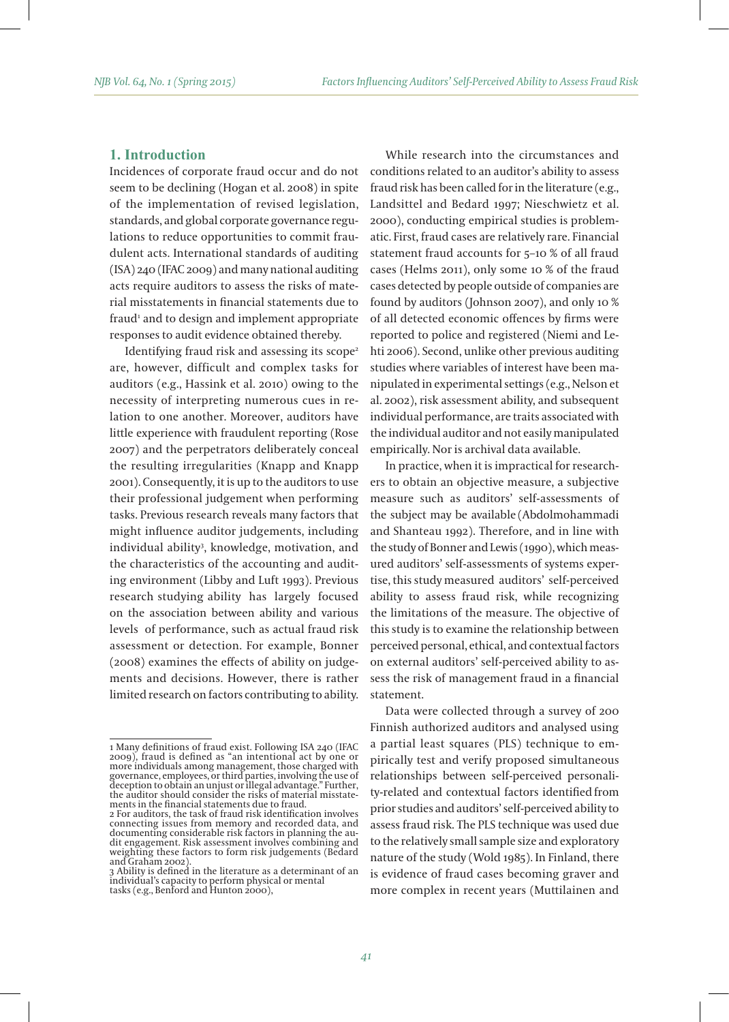## **1. Introduction**

Incidences of corporate fraud occur and do not seem to be declining (Hogan et al. 2008) in spite of the implementation of revised legislation, standards, and global corporate governance regulations to reduce opportunities to commit fraudulent acts. International standards of auditing (ISA) 240 (IFAC 2009) and many national auditing acts require auditors to assess the risks of material misstatements in financial statements due to fraud<sup>1</sup> and to design and implement appropriate responses to audit evidence obtained thereby.

Identifying fraud risk and assessing its scope<sup>2</sup> are, however, difficult and complex tasks for auditors (e.g., Hassink et al. 2010) owing to the necessity of interpreting numerous cues in relation to one another. Moreover, auditors have little experience with fraudulent reporting (Rose 2007) and the perpetrators deliberately conceal the resulting irregularities (Knapp and Knapp 2001). Consequently, it is up to the auditors to use their professional judgement when performing tasks. Previous research reveals many factors that might influence auditor judgements, including individual ability3 , knowledge, motivation, and the characteristics of the accounting and auditing environment (Libby and Luft 1993). Previous research studying ability has largely focused on the association between ability and various levels of performance, such as actual fraud risk assessment or detection. For example, Bonner (2008) examines the effects of ability on judgements and decisions. However, there is rather limited research on factors contributing to ability.

While research into the circumstances and conditions related to an auditor's ability to assess fraud risk has been called for in the literature (e.g., Landsittel and Bedard 1997; Nieschwietz et al. 2000), conducting empirical studies is problematic. First, fraud cases are relatively rare. Financial statement fraud accounts for 5–10 % of all fraud cases (Helms 2011), only some 10 % of the fraud cases detected by people outside of companies are found by auditors (Johnson 2007), and only 10 % of all detected economic offences by firms were reported to police and registered (Niemi and Lehti 2006). Second, unlike other previous auditing studies where variables of interest have been manipulated in experimental settings (e.g., Nelson et al. 2002), risk assessment ability, and subsequent individual performance, are traits associated with the individual auditor and not easily manipulated empirically. Nor is archival data available.

In practice, when it is impractical for researchers to obtain an objective measure, a subjective measure such as auditors' self-assessments of the subject may be available (Abdolmohammadi and Shanteau 1992). Therefore, and in line with the study of Bonner and Lewis (1990), which measured auditors' self-assessments of systems expertise, this study measured auditors' self-perceived ability to assess fraud risk, while recognizing the limitations of the measure. The objective of this study is to examine the relationship between perceived personal, ethical, and contextual factors on external auditors' self-perceived ability to assess the risk of management fraud in a financial statement.

Data were collected through a survey of 200 Finnish authorized auditors and analysed using a partial least squares (PLS) technique to empirically test and verify proposed simultaneous relationships between self-perceived personality-related and contextual factors identified from prior studies and auditors' self-perceived ability to assess fraud risk. The PLS technique was used due to the relatively small sample size and exploratory nature of the study (Wold 1985). In Finland, there is evidence of fraud cases becoming graver and more complex in recent years (Muttilainen and

<sup>1</sup> Many definitions of fraud exist. Following ISA 240 (IFAC 2009), fraud is defined as "an intentional act by one or more individuals among management, those charged with governance, employees, or third parties, involving the use of deception to obtain an unjust or illegal advantage." Further, the auditor should consider the risks of material misstate- ments in the financial statements due to fraud.

<sup>2</sup> For auditors, the task of fraud risk identification involves connecting issues from memory and recorded data, and dit engagement. Risk assessment involves combining and weighting these factors to form risk judgements (Bedard and Graham 2002).

<sup>3</sup> Ability is defined in the literature as a determinant of an individual's capacity to perform physical or mental tasks (e.g., Benford and Hunton 2000),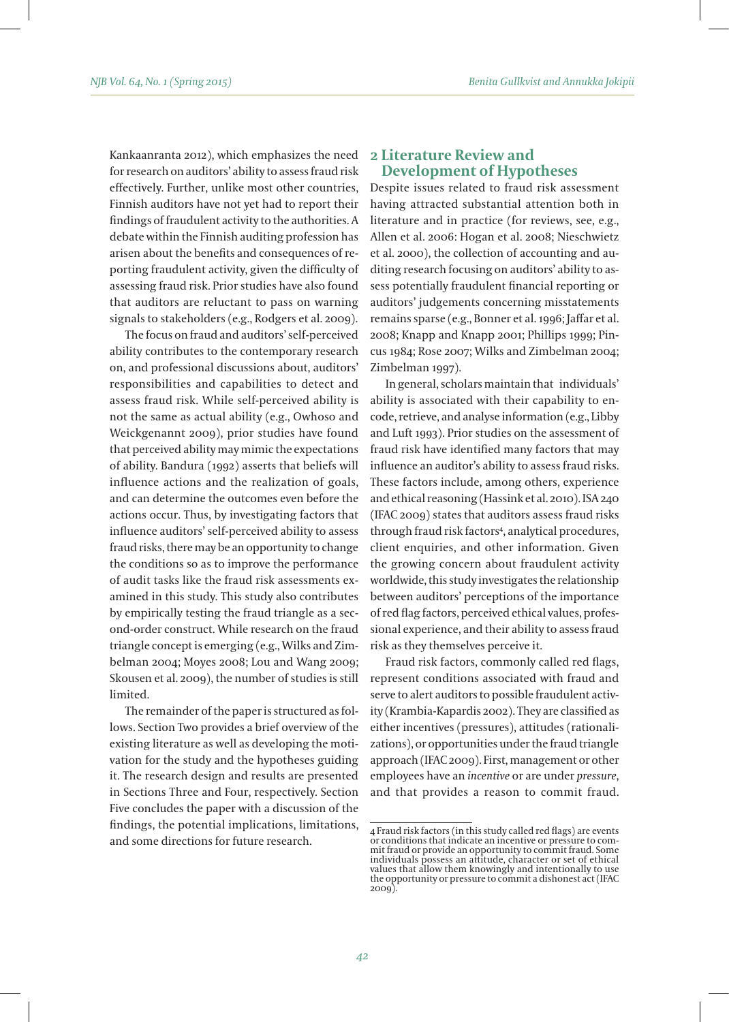Kankaanranta 2012), which emphasizes the need for research on auditors' ability to assess fraud risk effectively. Further, unlike most other countries, Finnish auditors have not yet had to report their findings of fraudulent activity to the authorities. A debate within the Finnish auditing profession has arisen about the benefits and consequences of reporting fraudulent activity, given the difficulty of assessing fraud risk. Prior studies have also found that auditors are reluctant to pass on warning signals to stakeholders (e.g., Rodgers et al. 2009).

The focus on fraud and auditors' self-perceived ability contributes to the contemporary research on, and professional discussions about, auditors' responsibilities and capabilities to detect and assess fraud risk. While self-perceived ability is not the same as actual ability (e.g., Owhoso and Weickgenannt 2009), prior studies have found that perceived ability may mimic the expectations of ability. Bandura (1992) asserts that beliefs will influence actions and the realization of goals, and can determine the outcomes even before the actions occur. Thus, by investigating factors that influence auditors' self-perceived ability to assess fraud risks, there may be an opportunity to change the conditions so as to improve the performance of audit tasks like the fraud risk assessments examined in this study. This study also contributes by empirically testing the fraud triangle as a second-order construct. While research on the fraud triangle concept is emerging (e.g., Wilks and Zimbelman 2004; Moyes 2008; Lou and Wang 2009; Skousen et al. 2009), the number of studies is still limited.

The remainder of the paper is structured as follows. Section Two provides a brief overview of the existing literature as well as developing the motivation for the study and the hypotheses guiding it. The research design and results are presented in Sections Three and Four, respectively. Section Five concludes the paper with a discussion of the findings, the potential implications, limitations, and some directions for future research.

## **2 Literature Review and Development of Hypotheses**

Despite issues related to fraud risk assessment having attracted substantial attention both in literature and in practice (for reviews, see, e.g., Allen et al. 2006: Hogan et al. 2008; Nieschwietz et al. 2000), the collection of accounting and auditing research focusing on auditors' ability to assess potentially fraudulent financial reporting or auditors' judgements concerning misstatements remains sparse (e.g., Bonner et al. 1996; Jaffar et al. 2008; Knapp and Knapp 2001; Phillips 1999; Pincus 1984; Rose 2007; Wilks and Zimbelman 2004; Zimbelman 1997).

In general, scholars maintain that individuals' ability is associated with their capability to encode, retrieve, and analyse information (e.g., Libby and Luft 1993). Prior studies on the assessment of fraud risk have identified many factors that may influence an auditor's ability to assess fraud risks. These factors include, among others, experience and ethical reasoning (Hassink et al. 2010). ISA 240 (IFAC 2009) states that auditors assess fraud risks through fraud risk factors4 , analytical procedures, client enquiries, and other information. Given the growing concern about fraudulent activity worldwide, this study investigates the relationship between auditors' perceptions of the importance of red flag factors, perceived ethical values, professional experience, and their ability to assess fraud risk as they themselves perceive it.

Fraud risk factors, commonly called red flags, represent conditions associated with fraud and serve to alert auditors to possible fraudulent activity (Krambia-Kapardis 2002). They are classified as either incentives (pressures), attitudes (rationalizations), or opportunities under the fraud triangle approach (IFAC 2009). First, management or other employees have an *incentive* or are under *pressure*, and that provides a reason to commit fraud.

<sup>4</sup> Fraud risk factors (in this study called red flags) are events or conditions that indicate an incentive or pressure to com-<br>mit fraud or provide an opportunity to commit fraud. Some<br>individuals possess an attitude, character or set of ethical values that allow them knowingly and intentionally to use the opportunity or pressure to commit a dishonest act (IFAC 2009).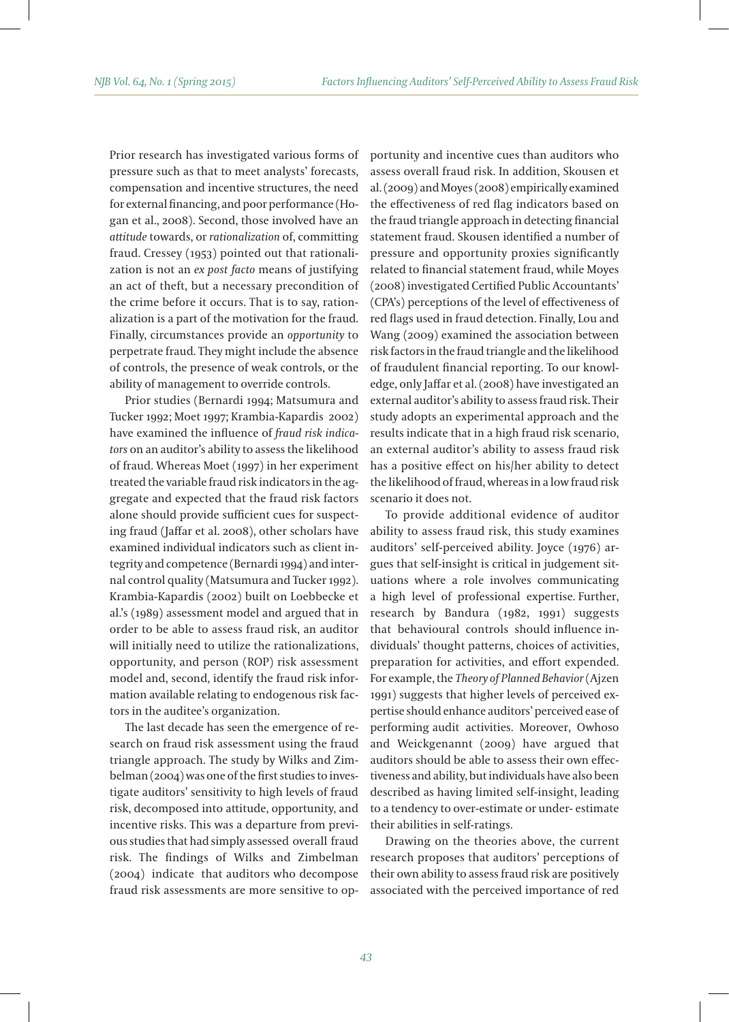Prior research has investigated various forms of pressure such as that to meet analysts' forecasts, compensation and incentive structures, the need for external financing, and poor performance (Hogan et al., 2008). Second, those involved have an *attitude* towards, or *rationalization* of, committing fraud. Cressey (1953) pointed out that rationalization is not an *ex post facto* means of justifying an act of theft, but a necessary precondition of the crime before it occurs. That is to say, rationalization is a part of the motivation for the fraud. Finally, circumstances provide an *opportunity* to perpetrate fraud. They might include the absence of controls, the presence of weak controls, or the ability of management to override controls.

Prior studies (Bernardi 1994; Matsumura and Tucker 1992; Moet 1997; Krambia-Kapardis 2002) have examined the influence of *fraud risk indicators* on an auditor's ability to assess the likelihood of fraud. Whereas Moet (1997) in her experiment treated the variable fraud risk indicators in the aggregate and expected that the fraud risk factors alone should provide sufficient cues for suspecting fraud (Jaffar et al. 2008), other scholars have examined individual indicators such as client integrity and competence (Bernardi 1994) and internal control quality (Matsumura and Tucker 1992). Krambia-Kapardis (2002) built on Loebbecke et al.'s (1989) assessment model and argued that in order to be able to assess fraud risk, an auditor will initially need to utilize the rationalizations, opportunity, and person (ROP) risk assessment model and, second, identify the fraud risk information available relating to endogenous risk factors in the auditee's organization.

The last decade has seen the emergence of research on fraud risk assessment using the fraud triangle approach. The study by Wilks and Zimbelman (2004) was one of the first studies to investigate auditors' sensitivity to high levels of fraud risk, decomposed into attitude, opportunity, and incentive risks. This was a departure from previous studies that had simply assessed overall fraud risk. The findings of Wilks and Zimbelman (2004) indicate that auditors who decompose fraud risk assessments are more sensitive to opportunity and incentive cues than auditors who assess overall fraud risk. In addition, Skousen et al. (2009) and Moyes (2008) empirically examined the effectiveness of red flag indicators based on the fraud triangle approach in detecting financial statement fraud. Skousen identified a number of pressure and opportunity proxies significantly related to financial statement fraud, while Moyes (2008) investigated Certified Public Accountants' (CPA's) perceptions of the level of effectiveness of red flags used in fraud detection. Finally, Lou and Wang (2009) examined the association between risk factors in the fraud triangle and the likelihood of fraudulent financial reporting. To our knowledge, only Jaffar et al. (2008) have investigated an external auditor's ability to assess fraud risk. Their study adopts an experimental approach and the results indicate that in a high fraud risk scenario, an external auditor's ability to assess fraud risk has a positive effect on his/her ability to detect the likelihood of fraud, whereas in a low fraud risk scenario it does not.

To provide additional evidence of auditor ability to assess fraud risk, this study examines auditors' self-perceived ability. Joyce (1976) argues that self-insight is critical in judgement situations where a role involves communicating a high level of professional expertise. Further, research by Bandura (1982, 1991) suggests that behavioural controls should influence individuals' thought patterns, choices of activities, preparation for activities, and effort expended. For example, the *Theory of Planned Behavior* (Ajzen 1991) suggests that higher levels of perceived expertise should enhance auditors' perceived ease of performing audit activities. Moreover, Owhoso and Weickgenannt (2009) have argued that auditors should be able to assess their own effectiveness and ability, but individuals have also been described as having limited self-insight, leading to a tendency to over-estimate or under- estimate their abilities in self-ratings.

Drawing on the theories above, the current research proposes that auditors' perceptions of their own ability to assess fraud risk are positively associated with the perceived importance of red

*43*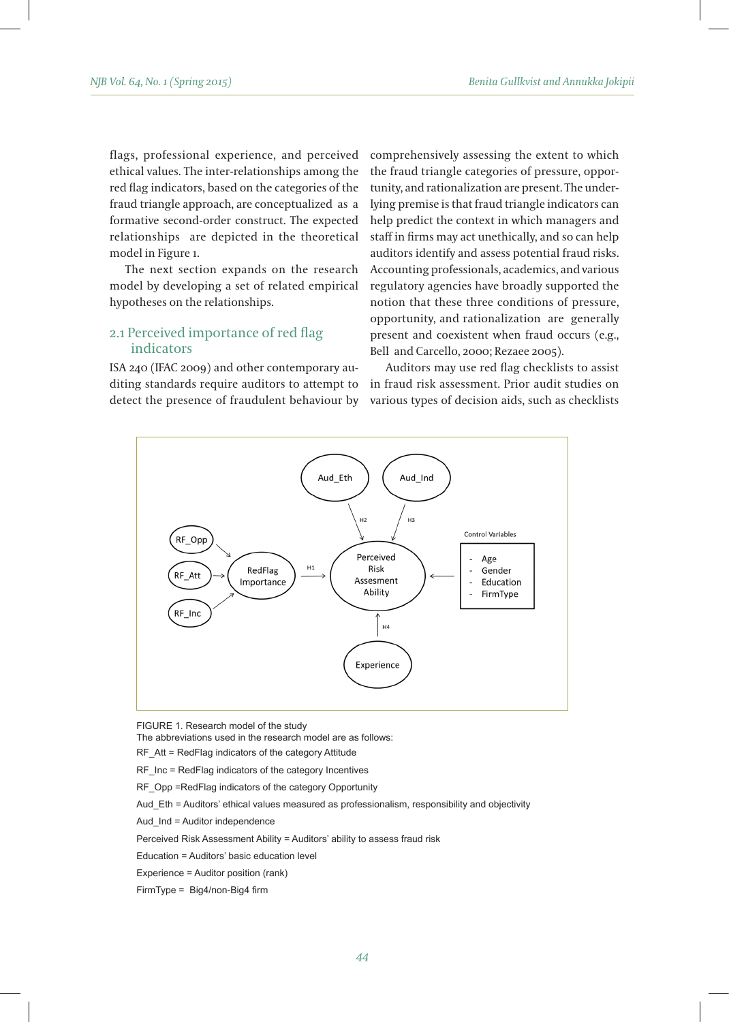flags, professional experience, and perceived ethical values. The inter-relationships among the red flag indicators, based on the categories of the fraud triangle approach, are conceptualized as a formative second-order construct. The expected relationships are depicted in the theoretical model in Figure 1.

The next section expands on the research model by developing a set of related empirical hypotheses on the relationships.

## 2.1 Perceived importance of red flag indicators

ISA 240 (IFAC 2009) and other contemporary auditing standards require auditors to attempt to detect the presence of fraudulent behaviour by comprehensively assessing the extent to which the fraud triangle categories of pressure, opportunity, and rationalization are present. The underlying premise is that fraud triangle indicators can help predict the context in which managers and staff in firms may act unethically, and so can help auditors identify and assess potential fraud risks. Accounting professionals, academics, and various regulatory agencies have broadly supported the notion that these three conditions of pressure, opportunity, and rationalization are generally present and coexistent when fraud occurs (e.g., Bell and Carcello, 2000; Rezaee 2005).

Auditors may use red flag checklists to assist in fraud risk assessment. Prior audit studies on various types of decision aids, such as checklists



FIGURE 1. Research model of the study

The abbreviations used in the research model are as follows:

RF\_Att = RedFlag indicators of the category Attitude

RF Inc = RedFlag indicators of the category Incentives

RF\_Opp =RedFlag indicators of the category Opportunity

Aud Eth = Auditors' ethical values measured as professionalism, responsibility and objectivity

Aud\_Ind = Auditor independence

Perceived Risk Assessment Ability = Auditors' ability to assess fraud risk

Education = Auditors' basic education level

Experience = Auditor position (rank)

FirmType = Big4/non-Big4 firm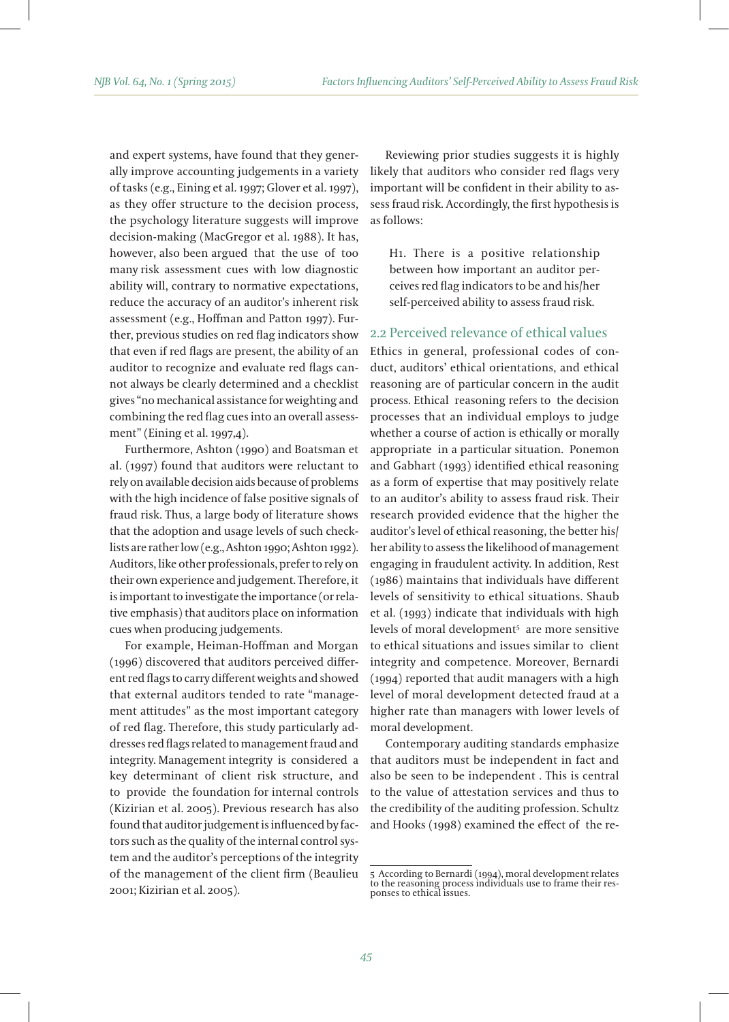and expert systems, have found that they generally improve accounting judgements in a variety of tasks (e.g., Eining et al. 1997; Glover et al. 1997), as they offer structure to the decision process, the psychology literature suggests will improve decision-making (MacGregor et al. 1988). It has, however, also been argued that the use of too many risk assessment cues with low diagnostic ability will, contrary to normative expectations, reduce the accuracy of an auditor's inherent risk assessment (e.g., Hoffman and Patton 1997). Further, previous studies on red flag indicators show that even if red flags are present, the ability of an auditor to recognize and evaluate red flags cannot always be clearly determined and a checklist gives "no mechanical assistance for weighting and combining the red flag cues into an overall assessment" (Eining et al. 1997,4).

Furthermore, Ashton (1990) and Boatsman et al. (1997) found that auditors were reluctant to rely on available decision aids because of problems with the high incidence of false positive signals of fraud risk. Thus, a large body of literature shows that the adoption and usage levels of such checklists are rather low (e.g., Ashton 1990; Ashton 1992). Auditors, like other professionals, prefer to rely on their own experience and judgement. Therefore, it is important to investigate the importance (or relative emphasis) that auditors place on information cues when producing judgements.

For example, Heiman-Hoffman and Morgan (1996) discovered that auditors perceived different red flags to carry different weights and showed that external auditors tended to rate "management attitudes" as the most important category of red flag. Therefore, this study particularly addresses red flags related to management fraud and integrity. Management integrity is considered a key determinant of client risk structure, and to provide the foundation for internal controls (Kizirian et al. 2005). Previous research has also found that auditor judgement is influenced by factors such as the quality of the internal control system and the auditor's perceptions of the integrity of the management of the client firm (Beaulieu 2001; Kizirian et al. 2005).

Reviewing prior studies suggests it is highly likely that auditors who consider red flags very important will be confident in their ability to assess fraud risk. Accordingly, the first hypothesis is as follows:

H1. There is a positive relationship between how important an auditor perceives red flag indicators to be and his/her self-perceived ability to assess fraud risk.

## 2.2 Perceived relevance of ethical values

Ethics in general, professional codes of conduct, auditors' ethical orientations, and ethical reasoning are of particular concern in the audit process. Ethical reasoning refers to the decision processes that an individual employs to judge whether a course of action is ethically or morally appropriate in a particular situation. Ponemon and Gabhart (1993) identified ethical reasoning as a form of expertise that may positively relate to an auditor's ability to assess fraud risk. Their research provided evidence that the higher the auditor's level of ethical reasoning, the better his/ her ability to assess the likelihood of management engaging in fraudulent activity. In addition, Rest (1986) maintains that individuals have different levels of sensitivity to ethical situations. Shaub et al. (1993) indicate that individuals with high levels of moral development5 are more sensitive to ethical situations and issues similar to client integrity and competence. Moreover, Bernardi (1994) reported that audit managers with a high level of moral development detected fraud at a higher rate than managers with lower levels of moral development.

Contemporary auditing standards emphasize that auditors must be independent in fact and also be seen to be independent . This is central to the value of attestation services and thus to the credibility of the auditing profession. Schultz and Hooks (1998) examined the effect of the re-

<sup>5</sup> According to Bernardi (1994), moral development relates to the reasoning process individuals use to frame their res- ponses to ethical issues.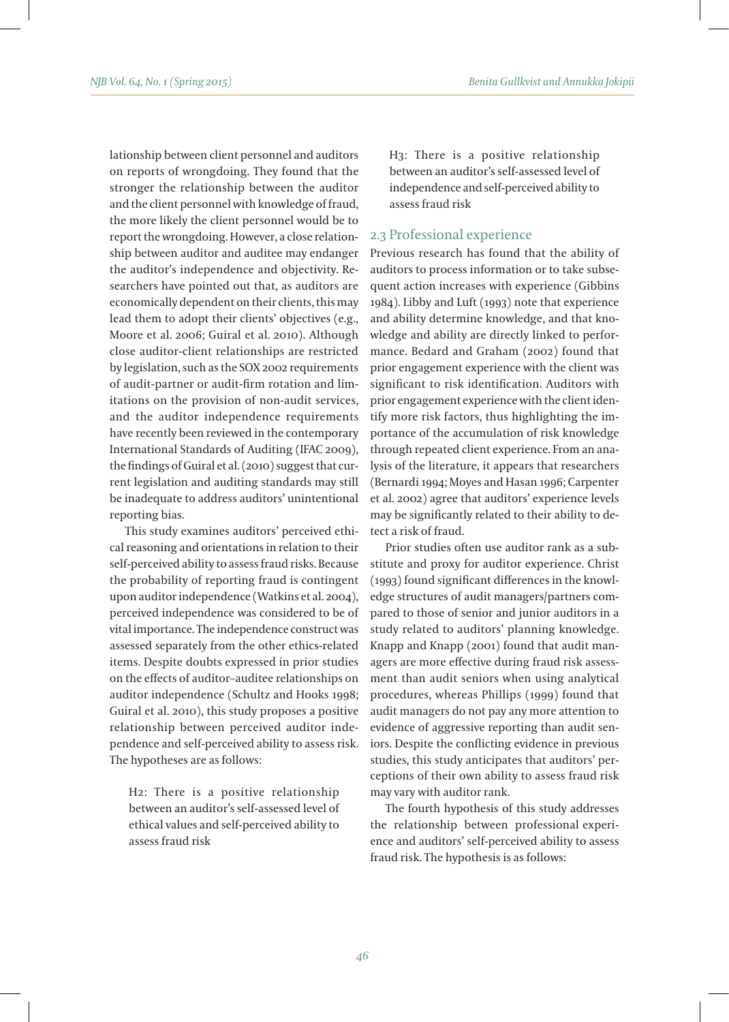lationship between client personnel and auditors on reports of wrongdoing. They found that the stronger the relationship between the auditor and the client personnel with knowledge of fraud, the more likely the client personnel would be to report the wrongdoing. However, a close relationship between auditor and auditee may endanger the auditor's independence and objectivity. Researchers have pointed out that, as auditors are economically dependent on their clients, this may lead them to adopt their clients' objectives (e.g., Moore et al. 2006; Guiral et al. 2010). Although close auditor-client relationships are restricted by legislation, such as the SOX 2002 requirements of audit-partner or audit-firm rotation and limitations on the provision of non-audit services, and the auditor independence requirements have recently been reviewed in the contemporary International Standards of Auditing (IFAC 2009), the findings of Guiral et al. (2010) suggest that current legislation and auditing standards may still be inadequate to address auditors' unintentional reporting bias.

This study examines auditors' perceived ethical reasoning and orientations in relation to their self-perceived ability to assess fraud risks. Because the probability of reporting fraud is contingent upon auditor independence (Watkins et al. 2004), perceived independence was considered to be of vital importance. The independence construct was assessed separately from the other ethics-related items. Despite doubts expressed in prior studies on the effects of auditor–auditee relationships on auditor independence (Schultz and Hooks 1998; Guiral et al. 2010), this study proposes a positive relationship between perceived auditor independence and self-perceived ability to assess risk. The hypotheses are as follows:

H2: There is a positive relationship between an auditor's self-assessed level of ethical values and self-perceived ability to assess fraud risk

H3: There is a positive relationship between an auditor's self-assessed level of independence and self-perceived ability to assess fraud risk

#### 2.3 Professional experience

Previous research has found that the ability of auditors to process information or to take subsequent action increases with experience (Gibbins 1984). Libby and Luft (1993) note that experience and ability determine knowledge, and that knowledge and ability are directly linked to performance. Bedard and Graham (2002) found that prior engagement experience with the client was significant to risk identification. Auditors with prior engagement experience with the client identify more risk factors, thus highlighting the importance of the accumulation of risk knowledge through repeated client experience. From an analysis of the literature, it appears that researchers (Bernardi 1994; Moyes and Hasan 1996; Carpenter et al. 2002) agree that auditors' experience levels may be significantly related to their ability to detect a risk of fraud.

Prior studies often use auditor rank as a substitute and proxy for auditor experience. Christ (1993) found significant differences in the knowledge structures of audit managers/partners compared to those of senior and junior auditors in a study related to auditors' planning knowledge. Knapp and Knapp (2001) found that audit managers are more effective during fraud risk assessment than audit seniors when using analytical procedures, whereas Phillips (1999) found that audit managers do not pay any more attention to evidence of aggressive reporting than audit seniors. Despite the conflicting evidence in previous studies, this study anticipates that auditors' perceptions of their own ability to assess fraud risk may vary with auditor rank.

The fourth hypothesis of this study addresses the relationship between professional experience and auditors' self-perceived ability to assess fraud risk. The hypothesis is as follows: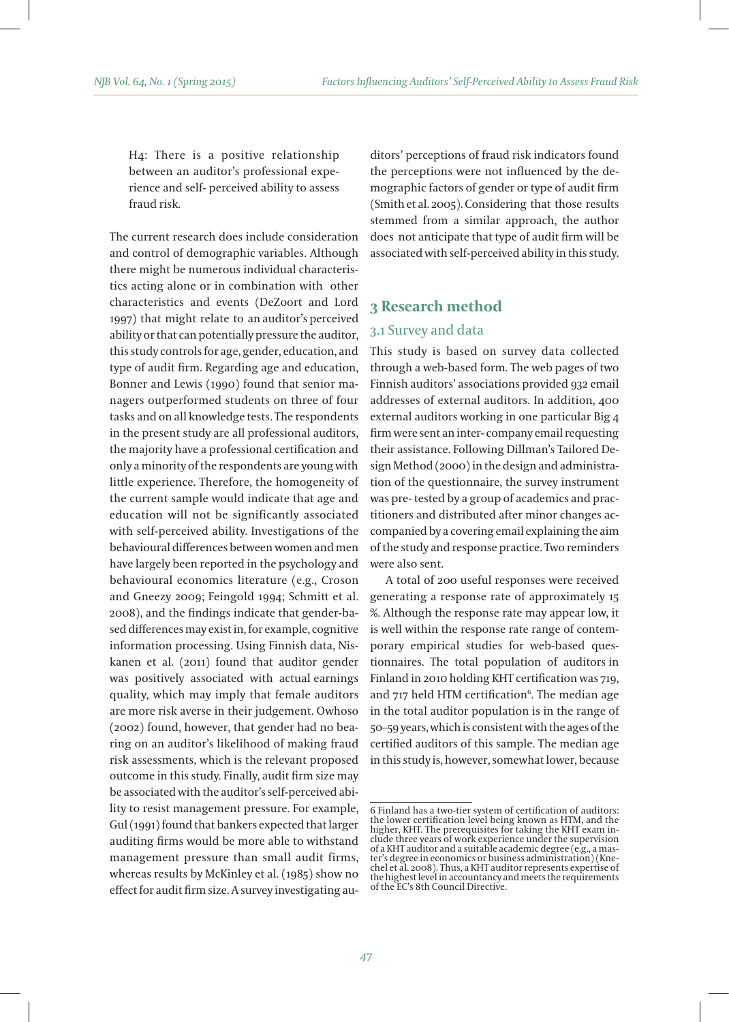H4: There is a positive relationship between an auditor's professional experience and self- perceived ability to assess fraud risk.

The current research does include consideration and control of demographic variables. Although there might be numerous individual characteristics acting alone or in combination with other characteristics and events (DeZoort and Lord 1997) that might relate to an auditor's perceived ability or that can potentially pressure the auditor, this study controls for age, gender, education, and type of audit firm. Regarding age and education, Bonner and Lewis (1990) found that senior managers outperformed students on three of four tasks and on all knowledge tests. The respondents in the present study are all professional auditors, the majority have a professional certification and only a minority of the respondents are young with little experience. Therefore, the homogeneity of the current sample would indicate that age and education will not be significantly associated with self-perceived ability. Investigations of the behavioural differences between women and men have largely been reported in the psychology and behavioural economics literature (e.g., Croson and Gneezy 2009; Feingold 1994; Schmitt et al. 2008), and the findings indicate that gender-based differences may exist in, for example, cognitive information processing. Using Finnish data, Niskanen et al. (2011) found that auditor gender was positively associated with actual earnings quality, which may imply that female auditors are more risk averse in their judgement. Owhoso (2002) found, however, that gender had no bearing on an auditor's likelihood of making fraud risk assessments, which is the relevant proposed outcome in this study. Finally, audit firm size may be associated with the auditor's self-perceived ability to resist management pressure. For example, Gul (1991) found that bankers expected that larger auditing firms would be more able to withstand management pressure than small audit firms, whereas results by McKinley et al. (1985) show no effect for audit firm size. A survey investigating auditors' perceptions of fraud risk indicators found the perceptions were not influenced by the demographic factors of gender or type of audit firm (Smith et al. 2005). Considering that those results stemmed from a similar approach, the author does not anticipate that type of audit firm will be associated with self-perceived ability in this study.

# **3 Research method**

## 3.1 Survey and data

This study is based on survey data collected through a web-based form. The web pages of two Finnish auditors' associations provided 932 email addresses of external auditors. In addition, 400 external auditors working in one particular Big 4 firm were sent an inter- company email requesting their assistance. Following Dillman's Tailored Design Method (2000) in the design and administration of the questionnaire, the survey instrument was pre- tested by a group of academics and practitioners and distributed after minor changes accompanied by a covering email explaining the aim of the study and response practice. Two reminders were also sent.

A total of 200 useful responses were received generating a response rate of approximately 15 %. Although the response rate may appear low, it is well within the response rate range of contemporary empirical studies for web-based questionnaires. The total population of auditors in Finland in 2010 holding KHT certification was 719, and 717 held HTM certification<sup>6</sup>. The median age in the total auditor population is in the range of 50–59 years, which is consistent with the ages of the certified auditors of this sample. The median age in this study is, however, somewhat lower, because

<sup>6</sup> Finland has a two-tier system of certification of auditors: the lower certification level being known as HTM, and the higher, KHT. The prerequisites for taking the KHT exam in-clude three years of work experience under the supervision ter's degree in economics or business administration) (Kne-<br>chel et al. 2008). Thus, a KHT auditor represents expertise of the highest level in accountancy and meets the requirements of the EC's 8th Council Directive.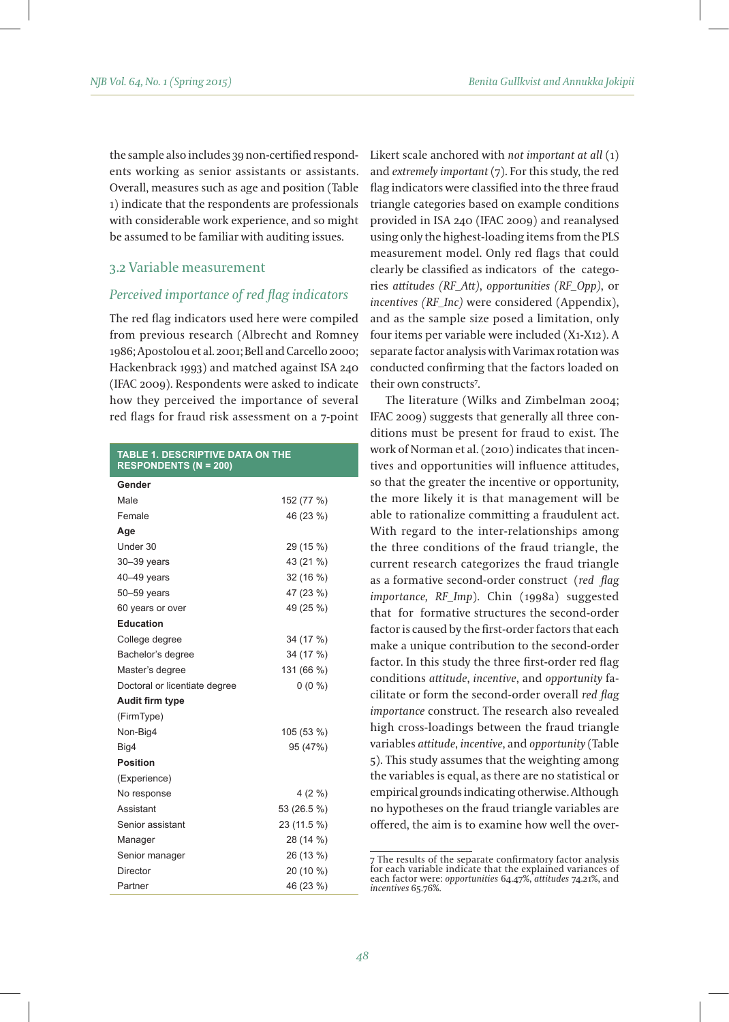the sample also includes 39 non-certified respondents working as senior assistants or assistants. Overall, measures such as age and position (Table 1) indicate that the respondents are professionals with considerable work experience, and so might be assumed to be familiar with auditing issues.

## 3.2 Variable measurement

## *Perceived importance of red flag indicators*

The red flag indicators used here were compiled from previous research (Albrecht and Romney 1986; Apostolou et al. 2001; Bell and Carcello 2000; Hackenbrack 1993) and matched against ISA 240 (IFAC 2009). Respondents were asked to indicate how they perceived the importance of several red flags for fraud risk assessment on a 7-point

#### **TABLE 1. DESCRIPTIVE DATA ON THE RESPONDENTS (N = 200)**

| Gender                        |             |
|-------------------------------|-------------|
| Male                          | 152 (77 %)  |
| Female                        | 46 (23 %)   |
| Age                           |             |
| Under 30                      | 29 (15 %)   |
| $30 - 39$ years               | 43 (21 %)   |
| $40 - 49$ years               | 32 (16 %)   |
| 50-59 years                   | 47 (23 %)   |
| 60 years or over              | 49 (25 %)   |
| <b>Education</b>              |             |
| College degree                | 34 (17 %)   |
| Bachelor's degree             | 34 (17 %)   |
| Master's degree               | 131 (66 %)  |
| Doctoral or licentiate degree | $0(0\%)$    |
| Audit firm type               |             |
| (FirmType)                    |             |
| Non-Big4                      | 105 (53 %)  |
| Big4                          | 95 (47%)    |
| <b>Position</b>               |             |
| (Experience)                  |             |
| No response                   | $4(2\%)$    |
| Assistant                     | 53 (26.5 %) |
| Senior assistant              | 23 (11.5 %) |
| Manager                       | 28 (14 %)   |
| Senior manager                | 26 (13 %)   |
| Director                      | 20 (10 %)   |
| Partner                       | 46 (23 %)   |

Likert scale anchored with *not important at all* (1) and *extremely important* (7). For this study, the red flag indicators were classified into the three fraud triangle categories based on example conditions provided in ISA 240 (IFAC 2009) and reanalysed using only the highest-loading items from the PLS measurement model. Only red flags that could clearly be classified as indicators of the categories *attitudes (RF\_Att)*, *opportunities (RF\_Opp)*, or *incentives (RF\_Inc)* were considered (Appendix), and as the sample size posed a limitation, only four items per variable were included (X1-X12). A separate factor analysis with Varimax rotation was conducted confirming that the factors loaded on their own constructs7 .

The literature (Wilks and Zimbelman 2004; IFAC 2009) suggests that generally all three conditions must be present for fraud to exist. The work of Norman et al. (2010) indicates that incentives and opportunities will influence attitudes, so that the greater the incentive or opportunity, the more likely it is that management will be able to rationalize committing a fraudulent act. With regard to the inter-relationships among the three conditions of the fraud triangle, the current research categorizes the fraud triangle as a formative second-order construct (*red flag importance, RF\_Imp*). Chin (1998a) suggested that for formative structures the second-order factor is caused by the first-order factors that each make a unique contribution to the second-order factor. In this study the three first-order red flag conditions *attitude*, *incentive*, and *opportunity* facilitate or form the second-order overall *red flag importance* construct. The research also revealed high cross-loadings between the fraud triangle variables *attitude*, *incentive*, and *opportunity* (Table 5). This study assumes that the weighting among the variables is equal, as there are no statistical or empirical grounds indicating otherwise. Although no hypotheses on the fraud triangle variables are offered, the aim is to examine how well the over-

<sup>7</sup> The results of the separate confirmatory factor analysis for each variable indicate that the explained variances of each factor were: *opportunities* 64.47%, *attitudes* 74.21%, and *incentives* 65.76%.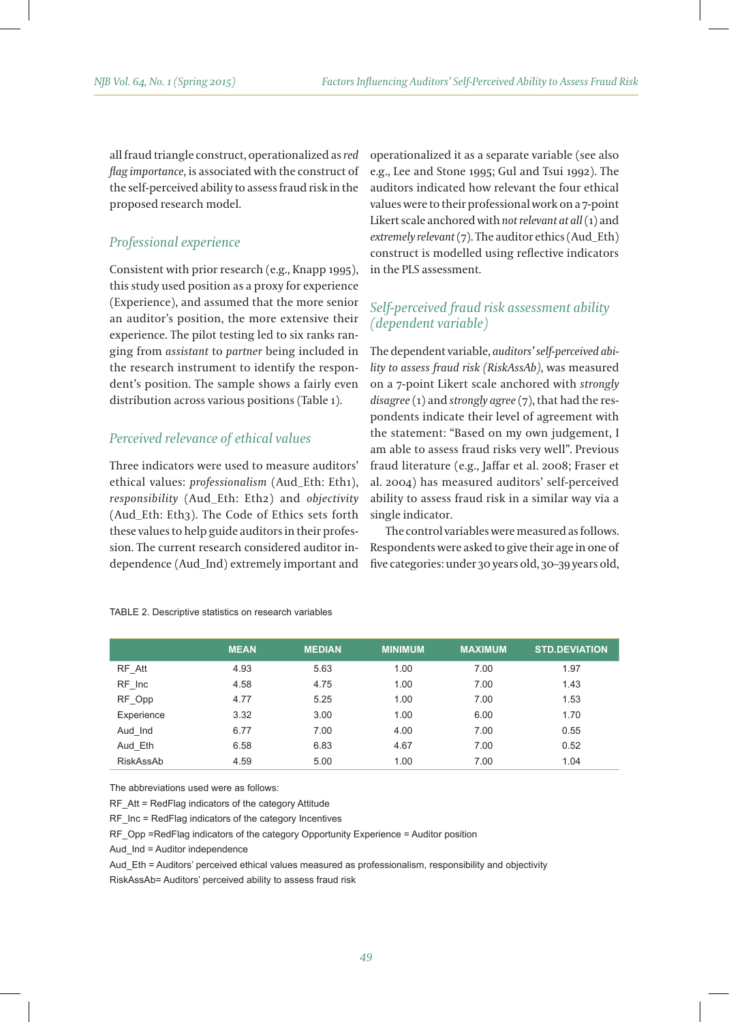all fraud triangle construct, operationalized as *red flag importance*, is associated with the construct of the self-perceived ability to assess fraud risk in the proposed research model.

## *Professional experience*

Consistent with prior research (e.g., Knapp 1995), this study used position as a proxy for experience (Experience), and assumed that the more senior an auditor's position, the more extensive their experience. The pilot testing led to six ranks ranging from *assistant* to *partner* being included in the research instrument to identify the respondent's position. The sample shows a fairly even distribution across various positions (Table 1).

## *Perceived relevance of ethical values*

Three indicators were used to measure auditors' ethical values: *professionalism* (Aud\_Eth: Eth1), *responsibility* (Aud\_Eth: Eth2) and *objectivity* (Aud\_Eth: Eth3). The Code of Ethics sets forth these values to help guide auditors in their profession. The current research considered auditor independence (Aud\_Ind) extremely important and operationalized it as a separate variable (see also e.g., Lee and Stone 1995; Gul and Tsui 1992). The auditors indicated how relevant the four ethical values were to their professional work on a 7-point Likert scale anchored with *not relevant at all* (1) and *extremely relevant* (7). The auditor ethics (Aud\_Eth) construct is modelled using reflective indicators in the PLS assessment.

# *Self-perceived fraud risk assessment ability (dependent variable)*

The dependent variable, *auditors' self-perceived ability to assess fraud risk (RiskAssAb)*, was measured on a 7-point Likert scale anchored with *strongly disagree* (1) and *strongly agree* (7), that had the respondents indicate their level of agreement with the statement: "Based on my own judgement, I am able to assess fraud risks very well". Previous fraud literature (e.g., Jaffar et al. 2008; Fraser et al. 2004) has measured auditors' self-perceived ability to assess fraud risk in a similar way via a single indicator.

The control variables were measured as follows. Respondents were asked to give their age in one of five categories: under 30 years old, 30–39 years old,

|            | <b>MEAN</b> | <b>MEDIAN</b> | <b>MINIMUM</b> | <b>MAXIMUM</b> | <b>STD.DEVIATION.</b> |
|------------|-------------|---------------|----------------|----------------|-----------------------|
| RF Att     | 4.93        | 5.63          | 1.00           | 7.00           | 1.97                  |
| RF Inc     | 4.58        | 4.75          | 1.00           | 7.00           | 1.43                  |
| RF Opp     | 4.77        | 5.25          | 1.00           | 7.00           | 1.53                  |
| Experience | 3.32        | 3.00          | 1.00           | 6.00           | 1.70                  |
| Aud Ind    | 6.77        | 7.00          | 4.00           | 7.00           | 0.55                  |
| Aud Eth    | 6.58        | 6.83          | 4.67           | 7.00           | 0.52                  |
| RiskAssAb  | 4.59        | 5.00          | 1.00           | 7.00           | 1.04                  |

#### TABLE 2. Descriptive statistics on research variables

The abbreviations used were as follows:

RF\_Att = RedFlag indicators of the category Attitude

RF Inc = RedFlag indicators of the category Incentives

RF\_Opp =RedFlag indicators of the category Opportunity Experience = Auditor position

Aud Ind = Auditor independence

Aud Eth = Auditors' perceived ethical values measured as professionalism, responsibility and objectivity

RiskAssAb= Auditors' perceived ability to assess fraud risk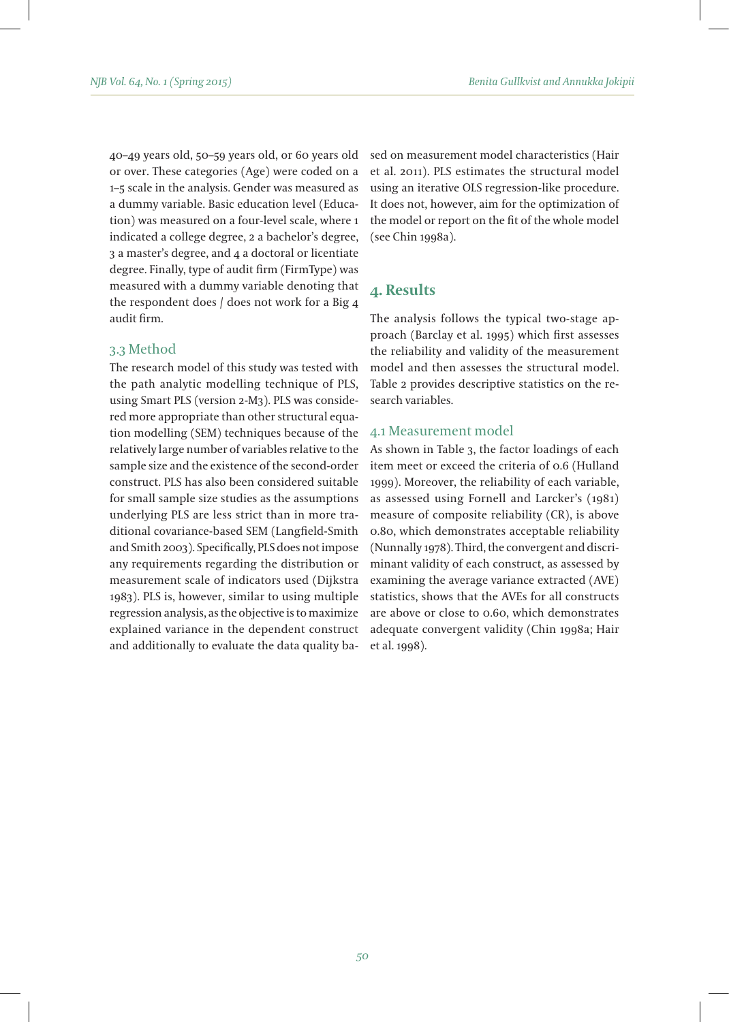40–49 years old, 50–59 years old, or 60 years old or over. These categories (Age) were coded on a 1–5 scale in the analysis. Gender was measured as a dummy variable. Basic education level (Education) was measured on a four-level scale, where 1 indicated a college degree, 2 a bachelor's degree, 3 a master's degree, and 4 a doctoral or licentiate degree. Finally, type of audit firm (FirmType) was measured with a dummy variable denoting that the respondent does / does not work for a Big 4 audit firm.

### 3.3 Method

The research model of this study was tested with the path analytic modelling technique of PLS, using Smart PLS (version 2-M3). PLS was considered more appropriate than other structural equation modelling (SEM) techniques because of the relatively large number of variables relative to the sample size and the existence of the second-order construct. PLS has also been considered suitable for small sample size studies as the assumptions underlying PLS are less strict than in more traditional covariance-based SEM (Langfield-Smith and Smith 2003). Specifically, PLS does not impose any requirements regarding the distribution or measurement scale of indicators used (Dijkstra 1983). PLS is, however, similar to using multiple regression analysis, as the objective is to maximize explained variance in the dependent construct and additionally to evaluate the data quality based on measurement model characteristics (Hair et al. 2011). PLS estimates the structural model using an iterative OLS regression-like procedure. It does not, however, aim for the optimization of the model or report on the fit of the whole model (see Chin 1998a).

# **4. Results**

The analysis follows the typical two-stage approach (Barclay et al. 1995) which first assesses the reliability and validity of the measurement model and then assesses the structural model. Table 2 provides descriptive statistics on the research variables.

### 4.1 Measurement model

As shown in Table 3, the factor loadings of each item meet or exceed the criteria of 0.6 (Hulland 1999). Moreover, the reliability of each variable, as assessed using Fornell and Larcker's (1981) measure of composite reliability (CR), is above 0.80, which demonstrates acceptable reliability (Nunnally 1978). Third, the convergent and discriminant validity of each construct, as assessed by examining the average variance extracted (AVE) statistics, shows that the AVEs for all constructs are above or close to 0.60, which demonstrates adequate convergent validity (Chin 1998a; Hair et al. 1998).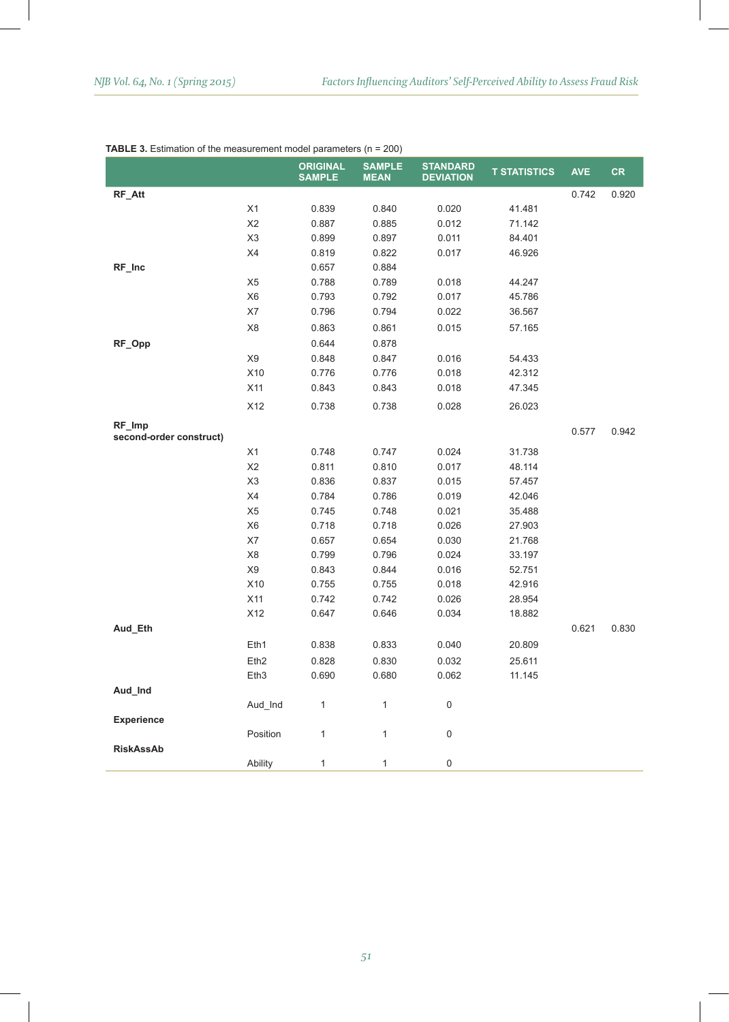|                                   |                  | <b>ORIGINAL</b><br><b>SAMPLE</b> | <b>SAMPLE</b><br><b>MEAN</b> | <b>STANDARD</b><br><b>DEVIATION</b> | <b>T STATISTICS</b> | <b>AVE</b> | <b>CR</b> |
|-----------------------------------|------------------|----------------------------------|------------------------------|-------------------------------------|---------------------|------------|-----------|
| RF_Att                            |                  |                                  |                              |                                     |                     | 0.742      | 0.920     |
|                                   | X1               | 0.839                            | 0.840                        | 0.020                               | 41.481              |            |           |
|                                   | X <sub>2</sub>   | 0.887                            | 0.885                        | 0.012                               | 71.142              |            |           |
|                                   | X <sub>3</sub>   | 0.899                            | 0.897                        | 0.011                               | 84.401              |            |           |
|                                   | X4               | 0.819                            | 0.822                        | 0.017                               | 46.926              |            |           |
| RF_Inc                            |                  | 0.657                            | 0.884                        |                                     |                     |            |           |
|                                   | X <sub>5</sub>   | 0.788                            | 0.789                        | 0.018                               | 44.247              |            |           |
|                                   | X <sub>6</sub>   | 0.793                            | 0.792                        | 0.017                               | 45.786              |            |           |
|                                   | X7               | 0.796                            | 0.794                        | 0.022                               | 36.567              |            |           |
|                                   | X8               | 0.863                            | 0.861                        | 0.015                               | 57.165              |            |           |
| RF_Opp                            |                  | 0.644                            | 0.878                        |                                     |                     |            |           |
|                                   | X9               | 0.848                            | 0.847                        | 0.016                               | 54.433              |            |           |
|                                   | X10              | 0.776                            | 0.776                        | 0.018                               | 42.312              |            |           |
|                                   | X11              | 0.843                            | 0.843                        | 0.018                               | 47.345              |            |           |
|                                   | X12              | 0.738                            | 0.738                        | 0.028                               | 26.023              |            |           |
| RF_Imp<br>second-order construct) |                  |                                  |                              |                                     |                     | 0.577      | 0.942     |
|                                   | X1               | 0.748                            | 0.747                        | 0.024                               | 31.738              |            |           |
|                                   | X <sub>2</sub>   | 0.811                            | 0.810                        | 0.017                               | 48.114              |            |           |
|                                   | X3               | 0.836                            | 0.837                        | 0.015                               | 57.457              |            |           |
|                                   | X4               | 0.784                            | 0.786                        | 0.019                               | 42.046              |            |           |
|                                   | X <sub>5</sub>   | 0.745                            | 0.748                        | 0.021                               | 35.488              |            |           |
|                                   | X <sub>6</sub>   | 0.718                            | 0.718                        | 0.026                               | 27.903              |            |           |
|                                   | X7               | 0.657                            | 0.654                        | 0.030                               | 21.768              |            |           |
|                                   | X <sub>8</sub>   | 0.799                            | 0.796                        | 0.024                               | 33.197              |            |           |
|                                   | X9               | 0.843                            | 0.844                        | 0.016                               | 52.751              |            |           |
|                                   | X10              | 0.755                            | 0.755                        | 0.018                               | 42.916              |            |           |
|                                   | X11              | 0.742                            | 0.742                        | 0.026                               | 28.954              |            |           |
|                                   | X12              | 0.647                            | 0.646                        | 0.034                               | 18.882              |            |           |
| Aud_Eth                           |                  |                                  |                              |                                     |                     | 0.621      | 0.830     |
|                                   | Eth1             | 0.838                            | 0.833                        | 0.040                               | 20.809              |            |           |
|                                   | Eth <sub>2</sub> | 0.828                            | 0.830                        | 0.032                               | 25.611              |            |           |
|                                   | Eth <sub>3</sub> | 0.690                            | 0.680                        | 0.062                               | 11.145              |            |           |
| Aud_Ind                           |                  |                                  |                              |                                     |                     |            |           |
|                                   | Aud_Ind          | $\mathbf{1}$                     | $\mathbf{1}$                 | 0                                   |                     |            |           |
| <b>Experience</b>                 |                  |                                  |                              |                                     |                     |            |           |
|                                   | Position         | 1                                | 1                            | 0                                   |                     |            |           |
| <b>RiskAssAb</b>                  |                  |                                  |                              |                                     |                     |            |           |
|                                   | Ability          | 1                                | $\mathbf{1}$                 | 0                                   |                     |            |           |

#### **TABLE 3.** Estimation of the measurement model parameters (n = 200)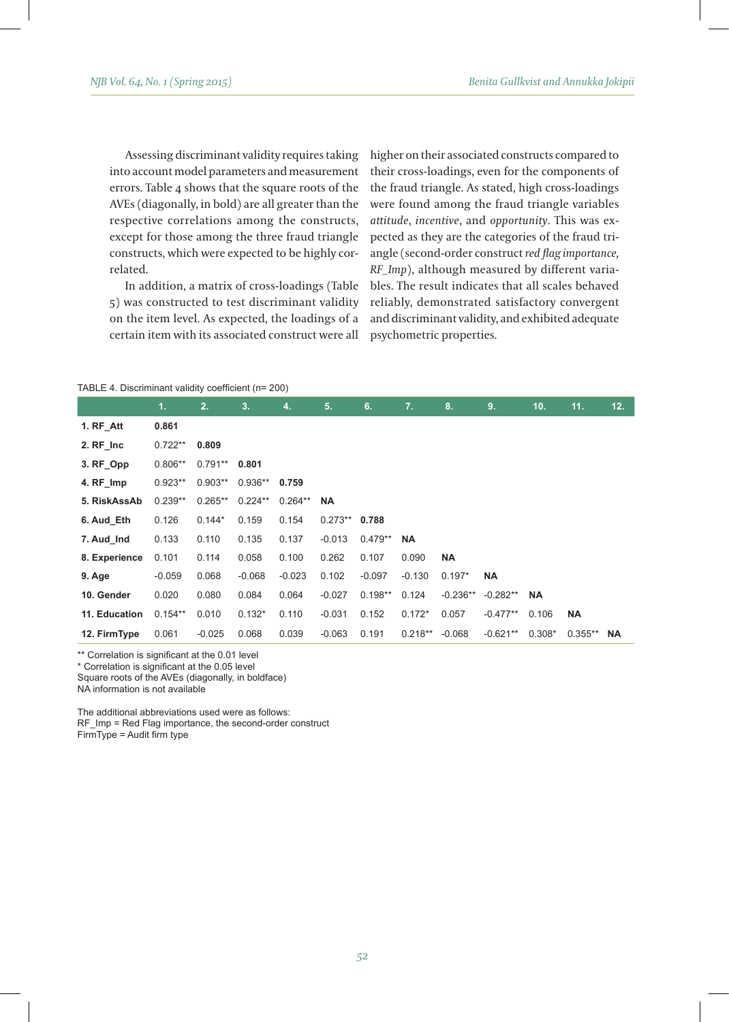Assessing discriminant validity requires taking into account model parameters and measurement errors. Table 4 shows that the square roots of the AVEs (diagonally, in bold) are all greater than the respective correlations among the constructs, except for those among the three fraud triangle constructs, which were expected to be highly correlated.

In addition, a matrix of cross-loadings (Table 5) was constructed to test discriminant validity on the item level. As expected, the loadings of a certain item with its associated construct were all higher on their associated constructs compared to their cross-loadings, even for the components of the fraud triangle. As stated, high cross-loadings were found among the fraud triangle variables *attitude*, *incentive*, and *opportunity*. This was expected as they are the categories of the fraud triangle (second-order construct *red flag importance, RF\_Imp*), although measured by different variables. The result indicates that all scales behaved reliably, demonstrated satisfactory convergent and discriminant validity, and exhibited adequate psychometric properties.

#### TABLE 4. Discriminant validity coefficient (n= 200)

|               | 1.        | 2.         | 3.        | 4.        | 5.              | 6.        | 7.        | 8.         | 9.         | 10.       | 11.       | 12.       |
|---------------|-----------|------------|-----------|-----------|-----------------|-----------|-----------|------------|------------|-----------|-----------|-----------|
| 1. RF Att     | 0.861     |            |           |           |                 |           |           |            |            |           |           |           |
| 2. RF Inc     | $0.722**$ | 0.809      |           |           |                 |           |           |            |            |           |           |           |
| 3. RF Opp     | $0.806**$ | $0.791***$ | 0.801     |           |                 |           |           |            |            |           |           |           |
| 4. RF_Imp     | $0.923**$ | $0.903**$  | $0.936**$ | 0.759     |                 |           |           |            |            |           |           |           |
| 5. RiskAssAb  | $0.239**$ | $0.265**$  | $0.224**$ | $0.264**$ | <b>NA</b>       |           |           |            |            |           |           |           |
| 6. Aud Eth    | 0.126     | $0.144*$   | 0.159     | 0.154     | $0.273**$ 0.788 |           |           |            |            |           |           |           |
| 7. Aud Ind    | 0.133     | 0.110      | 0.135     | 0.137     | $-0.013$        | $0.479**$ | <b>NA</b> |            |            |           |           |           |
| 8. Experience | 0.101     | 0.114      | 0.058     | 0.100     | 0.262           | 0.107     | 0.090     | <b>NA</b>  |            |           |           |           |
| 9. Age        | $-0.059$  | 0.068      | $-0.068$  | $-0.023$  | 0.102           | $-0.097$  | $-0.130$  | $0.197*$   | <b>NA</b>  |           |           |           |
| 10. Gender    | 0.020     | 0.080      | 0.084     | 0.064     | $-0.027$        | $0.198**$ | 0.124     | $-0.236**$ | $-0.282**$ | <b>NA</b> |           |           |
| 11. Education | $0.154**$ | 0.010      | $0.132*$  | 0.110     | $-0.031$        | 0.152     | $0.172*$  | 0.057      | $-0.477**$ | 0.106     | <b>NA</b> |           |
| 12. FirmType  | 0.061     | $-0.025$   | 0.068     | 0.039     | $-0.063$        | 0.191     | $0.218**$ | $-0.068$   | $-0.621**$ | $0.308*$  | $0.355**$ | <b>NA</b> |

\*\* Correlation is significant at the 0.01 level

\* Correlation is significant at the 0.05 level

Square roots of the AVEs (diagonally, in boldface)

NA information is not available

The additional abbreviations used were as follows:

RF\_Imp = Red Flag importance, the second-order construct

FirmType = Audit firm type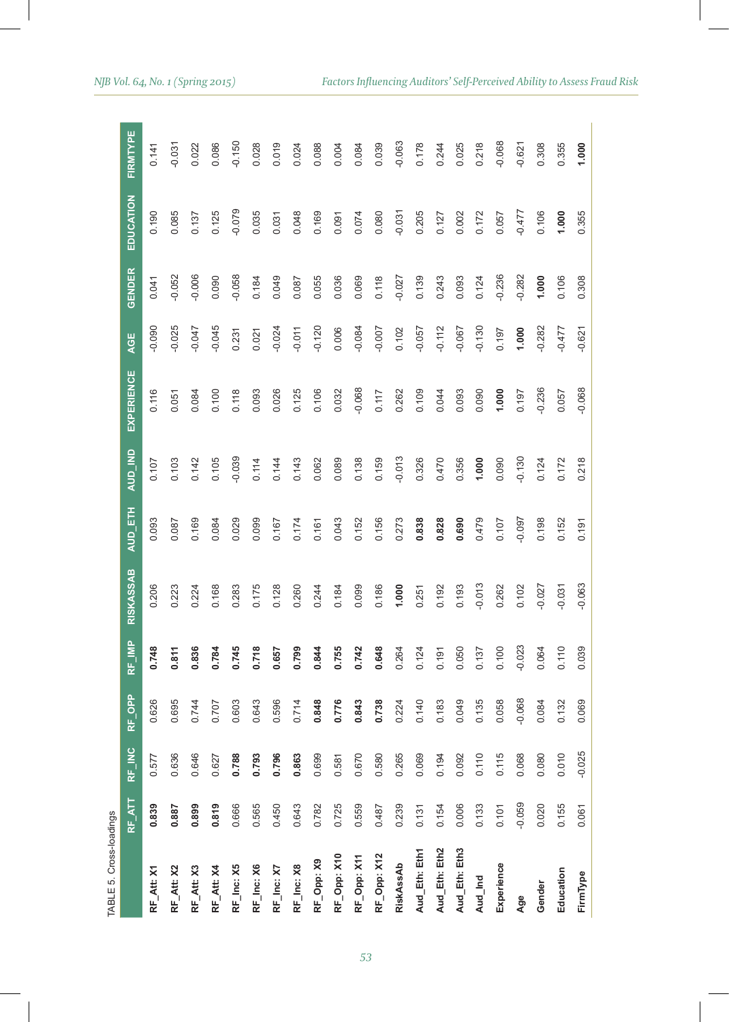| u |
|---|
|   |
|   |
|   |
|   |
|   |
|   |
|   |

| TABLE 5. Cross-loadings |               |          |          |          |                  |         |          |                   |          |               |           |          |
|-------------------------|---------------|----------|----------|----------|------------------|---------|----------|-------------------|----------|---------------|-----------|----------|
|                         | <b>RF_ATT</b> | RF_INC   | RF_OPP   | RF_IMP   | <b>RISKASSAB</b> | AUD ETH | AUD_IND  | <b>EXPERIENCE</b> | AGE      | <b>GENDER</b> | EDUCATION | FIRMTYPE |
| RF_Att: X1              | 0.839         | 0.577    | 0.626    | 0.748    | 0.206            | 0.093   | 0.107    | 0.116             | 0.090    | 0.041         | 0.190     | 0.141    |
| RF_Att: X2              | 0.887         | 0.636    | 0.695    | 0.811    | 0.223            | 0.087   | 0.103    | 0.051             | $-0.025$ | $-0.052$      | 0.085     | $-0.031$ |
| RF_Att: X3              | 0.899         | 0.646    | 0.744    | 0.836    | 0.224            | 0.169   | 0.142    | 0.084             | $-0.047$ | $-0.006$      | 0.137     | 0.022    |
| RF_Att: X4              | 0.819         | 0.627    | 0.707    | 0.784    | 0.168            | 0.084   | 0.105    | 0.100             | $-0.045$ | 0.090         | 0.125     | 0.086    |
| RF_Inc: X5              | 0.666         | 0.788    | 0.603    | 0.745    | 0.283            | 0.029   | $-0.039$ | 0.118             | 0.231    | $-0.058$      | $-0.079$  | $-0.150$ |
| RF_Inc: X6              | 0.565         | 0.793    | 0.643    | 0.718    | 0.175            | 0.099   | 0.114    | 0.093             | 0.021    | 0.184         | 0.035     | 0.028    |
| RF_Inc: X7              | 0.450         | 0.796    | 0.596    | 0.657    | 0.128            | 0.167   | 0.144    | 0.026             | $-0.024$ | 0.049         | 0.031     | 0.019    |
| RF_Inc: X8              | 0.643         | 0.863    | 0.714    | 0.799    | 0.260            | 0.174   | 0.143    | 0.125             | $-0.011$ | 0.087         | 0.048     | 0.024    |
| RF_Opp: X9              | 0.782         | 0.699    | 0.848    | 0.844    | 0.244            | 0.161   | 0.062    | 0.106             | $-0.120$ | 0.055         | 0.169     | 0.088    |
| RF_Opp: X10             | 0.725         | 0.581    | 0.776    | 0.755    | 0.184            | 0.043   | 0.089    | 0.032             | 0.006    | 0.036         | 0.091     | 0.004    |
| RF_Opp: X11             | 0.559         | 0.670    | 0.843    | 0.742    | 0.099            | 0.152   | 0.138    | $-0.068$          | $-0.084$ | 0.069         | 0.074     | 0.084    |
| RF_Opp: X12             | 0.487         | 0.580    | 0.738    | 0.648    | 0.186            | 0.156   | 0.159    | 0.117             | $-0.007$ | 0.118         | 0.080     | 0.039    |
| RiskAssAb               | 0.239         | 0.265    | 0.224    | 0.264    | 1.000            | 0.273   | $-0.013$ | 0.262             | 0.102    | $-0.027$      | $-0.031$  | $-0.063$ |
| Aud_Eth: Eth1           | 0.131         | 0.069    | 0.140    | 0.124    | 0.251            | 0.838   | 0.326    | 0.109             | $-0.057$ | 0.139         | 0.205     | 0.178    |
| Aud_Eth: Eth2           | 0.154         | 0.194    | 0.183    | 0.191    | 0.192            | 0.828   | 0.470    | 0.044             | $-0.112$ | 0.243         | 0.127     | 0.244    |
| Aud_Eth: Eth3           | 0.006         | 0.092    | 0.049    | 0.050    | 0.193            | 0.690   | 0.356    | 0.093             | $-0.067$ | 0.093         | 0.002     | 0.025    |
| Aud_Ind                 | 0.133         | 0.110    | 0.135    | 0.137    | $-0.013$         | 0.479   | 1.000    | 0.090             | $-0.130$ | 0.124         | 0.172     | 0.218    |
| Experience              | 0.101         | 0.115    | 0.058    | 0.100    | 0.262            | 0.107   | 0.090    | 1.000             | 0.197    | $-0.236$      | 0.057     | $-0.068$ |
| Age                     | $-0.059$      | 0.068    | $-0.068$ | $-0.023$ | 0.102            | -0.097  | $-0.130$ | 0.197             | 1.000    | $-0.282$      | $-0.477$  | $-0.621$ |
| Gender                  | 0.020         | 0.080    | 0.084    | 0.064    | $-0.027$         | 0.198   | 0.124    | $-0.236$          | $-0.282$ | 1.000         | 0.106     | 0.308    |
| Education               | 0.155         | 0.010    | 0.132    | 0.110    | $-0.031$         | 0.152   | 0.172    | 0.057             | $-0.477$ | 0.106         | 1.000     | 0.355    |
| FirmType                | 0.061         | $-0.025$ | 0.069    | 0.039    | $-0.063$         | 0.191   | 0.218    | $-0.068$          | $-0.621$ | 0.308         | 0.355     | 1.000    |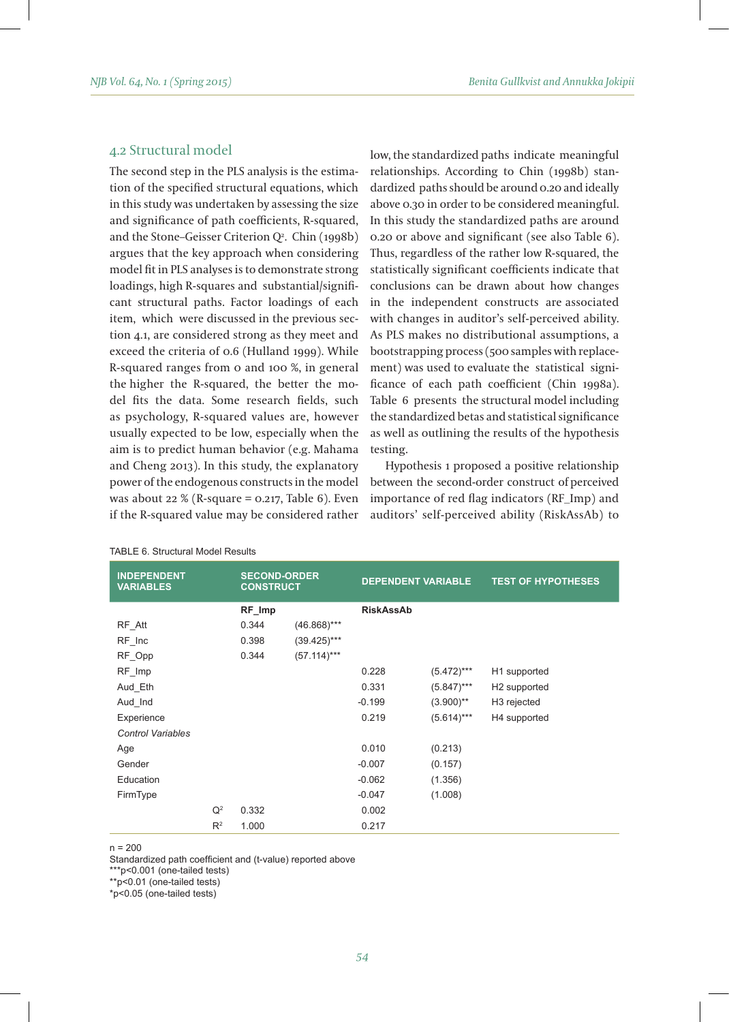## 4.2 Structural model

The second step in the PLS analysis is the estimation of the specified structural equations, which in this study was undertaken by assessing the size and significance of path coefficients, R-squared, and the Stone–Geisser Criterion  $Q^2$ . Chin (1998b) argues that the key approach when considering model fit in PLS analyses is to demonstrate strong loadings, high R-squares and substantial/significant structural paths. Factor loadings of each item, which were discussed in the previous section 4.1, are considered strong as they meet and exceed the criteria of 0.6 (Hulland 1999). While R-squared ranges from 0 and 100 %, in general the higher the R-squared, the better the model fits the data. Some research fields, such as psychology, R-squared values are, however usually expected to be low, especially when the aim is to predict human behavior (e.g. Mahama and Cheng 2013). In this study, the explanatory power of the endogenous constructs in the model was about 22 % (R-square =  $0.217$ , Table 6). Even if the R-squared value may be considered rather

low, the standardized paths indicate meaningful relationships. According to Chin (1998b) standardized paths should be around 0.20 and ideally above 0.30 in order to be considered meaningful. In this study the standardized paths are around 0.20 or above and significant (see also Table 6). Thus, regardless of the rather low R-squared, the statistically significant coefficients indicate that conclusions can be drawn about how changes in the independent constructs are associated with changes in auditor's self-perceived ability. As PLS makes no distributional assumptions, a bootstrapping process (500 samples with replacement) was used to evaluate the statistical significance of each path coefficient (Chin 1998a). Table 6 presents the structural model including the standardized betas and statistical significance as well as outlining the results of the hypothesis testing.

Hypothesis 1 proposed a positive relationship between the second-order construct of perceived importance of red flag indicators (RF\_Imp) and auditors' self-perceived ability (RiskAssAb) to

| <b>INDEPENDENT</b><br><b>VARIABLES</b> |       | <b>SECOND-ORDER</b><br><b>CONSTRUCT</b> |                | <b>DEPENDENT VARIABLE</b> |               | <b>TEST OF HYPOTHESES</b> |
|----------------------------------------|-------|-----------------------------------------|----------------|---------------------------|---------------|---------------------------|
|                                        |       | RF_Imp                                  |                | <b>RiskAssAb</b>          |               |                           |
| RF_Att                                 |       | 0.344                                   | $(46.868)$ *** |                           |               |                           |
| RF Inc                                 |       | 0.398                                   | $(39.425)***$  |                           |               |                           |
| RF Opp                                 |       | 0.344                                   | $(57.114)***$  |                           |               |                           |
| RF Imp                                 |       |                                         |                | 0.228                     | $(5.472)$ *** | H1 supported              |
| Aud Eth                                |       |                                         |                | 0.331                     | $(5.847)$ *** | H <sub>2</sub> supported  |
| Aud Ind                                |       |                                         |                | $-0.199$                  | $(3.900)$ **  | H <sub>3</sub> rejected   |
| Experience                             |       |                                         |                | 0.219                     | $(5.614)***$  | H4 supported              |
| <b>Control Variables</b>               |       |                                         |                |                           |               |                           |
| Age                                    |       |                                         |                | 0.010                     | (0.213)       |                           |
| Gender                                 |       |                                         |                | $-0.007$                  | (0.157)       |                           |
| Education                              |       |                                         |                | $-0.062$                  | (1.356)       |                           |
| FirmType                               |       |                                         |                | $-0.047$                  | (1.008)       |                           |
|                                        | $Q^2$ | 0.332                                   |                | 0.002                     |               |                           |
|                                        | $R^2$ | 1.000                                   |                | 0.217                     |               |                           |

#### TABLE 6. Structural Model Results

 $n = 200$ 

Standardized path coefficient and (t-value) reported above

\*\*\*p<0.001 (one-tailed tests)

\*\*p<0.01 (one-tailed tests)

\*p<0.05 (one-tailed tests)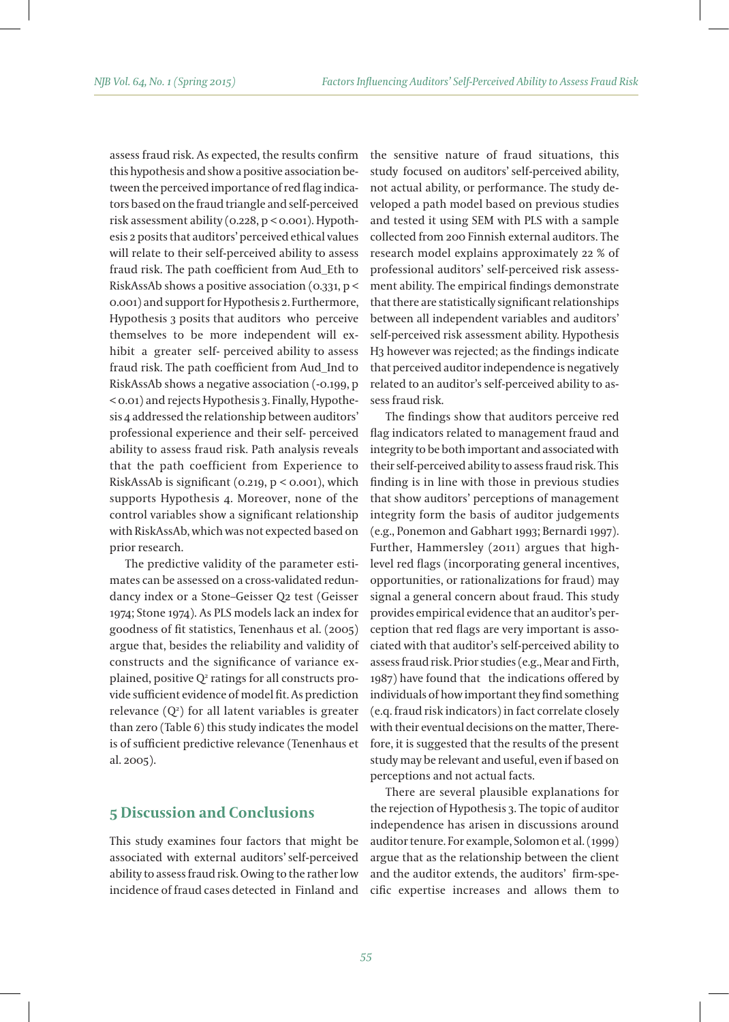assess fraud risk. As expected, the results confirm this hypothesis and show a positive association between the perceived importance of red flag indicators based on the fraud triangle and self-perceived risk assessment ability (0.228, p < 0.001). Hypothesis 2 posits that auditors' perceived ethical values will relate to their self-perceived ability to assess fraud risk. The path coefficient from Aud\_Eth to RiskAssAb shows a positive association (0.331, p < 0.001) and support for Hypothesis 2. Furthermore, Hypothesis 3 posits that auditors who perceive themselves to be more independent will exhibit a greater self- perceived ability to assess fraud risk. The path coefficient from Aud\_Ind to RiskAssAb shows a negative association (-0.199, p < 0.01) and rejects Hypothesis 3. Finally, Hypothesis 4 addressed the relationship between auditors' professional experience and their self- perceived ability to assess fraud risk. Path analysis reveals that the path coefficient from Experience to RiskAssAb is significant (0.219, p < 0.001), which supports Hypothesis 4. Moreover, none of the control variables show a significant relationship with RiskAssAb, which was not expected based on prior research.

The predictive validity of the parameter estimates can be assessed on a cross-validated redundancy index or a Stone–Geisser Q2 test (Geisser 1974; Stone 1974). As PLS models lack an index for goodness of fit statistics, Tenenhaus et al. (2005) argue that, besides the reliability and validity of constructs and the significance of variance explained, positive Q² ratings for all constructs provide sufficient evidence of model fit. As prediction relevance (Q2 ) for all latent variables is greater than zero (Table 6) this study indicates the model is of sufficient predictive relevance (Tenenhaus et al. 2005).

## **5 Discussion and Conclusions**

This study examines four factors that might be associated with external auditors' self-perceived ability to assess fraud risk. Owing to the rather low incidence of fraud cases detected in Finland and the sensitive nature of fraud situations, this study focused on auditors' self-perceived ability, not actual ability, or performance. The study developed a path model based on previous studies and tested it using SEM with PLS with a sample collected from 200 Finnish external auditors. The research model explains approximately 22 % of professional auditors' self-perceived risk assessment ability. The empirical findings demonstrate that there are statistically significant relationships between all independent variables and auditors' self-perceived risk assessment ability. Hypothesis H3 however was rejected; as the findings indicate that perceived auditor independence is negatively related to an auditor's self-perceived ability to assess fraud risk.

The findings show that auditors perceive red flag indicators related to management fraud and integrity to be both important and associated with their self-perceived ability to assess fraud risk. This finding is in line with those in previous studies that show auditors' perceptions of management integrity form the basis of auditor judgements (e.g., Ponemon and Gabhart 1993; Bernardi 1997). Further, Hammersley (2011) argues that highlevel red flags (incorporating general incentives, opportunities, or rationalizations for fraud) may signal a general concern about fraud. This study provides empirical evidence that an auditor's perception that red flags are very important is associated with that auditor's self-perceived ability to assess fraud risk. Prior studies (e.g., Mear and Firth, 1987) have found that the indications offered by individuals of how important they find something (e.q. fraud risk indicators) in fact correlate closely with their eventual decisions on the matter, Therefore, it is suggested that the results of the present study may be relevant and useful, even if based on perceptions and not actual facts.

There are several plausible explanations for the rejection of Hypothesis 3. The topic of auditor independence has arisen in discussions around auditor tenure. For example, Solomon et al. (1999) argue that as the relationship between the client and the auditor extends, the auditors' firm-specific expertise increases and allows them to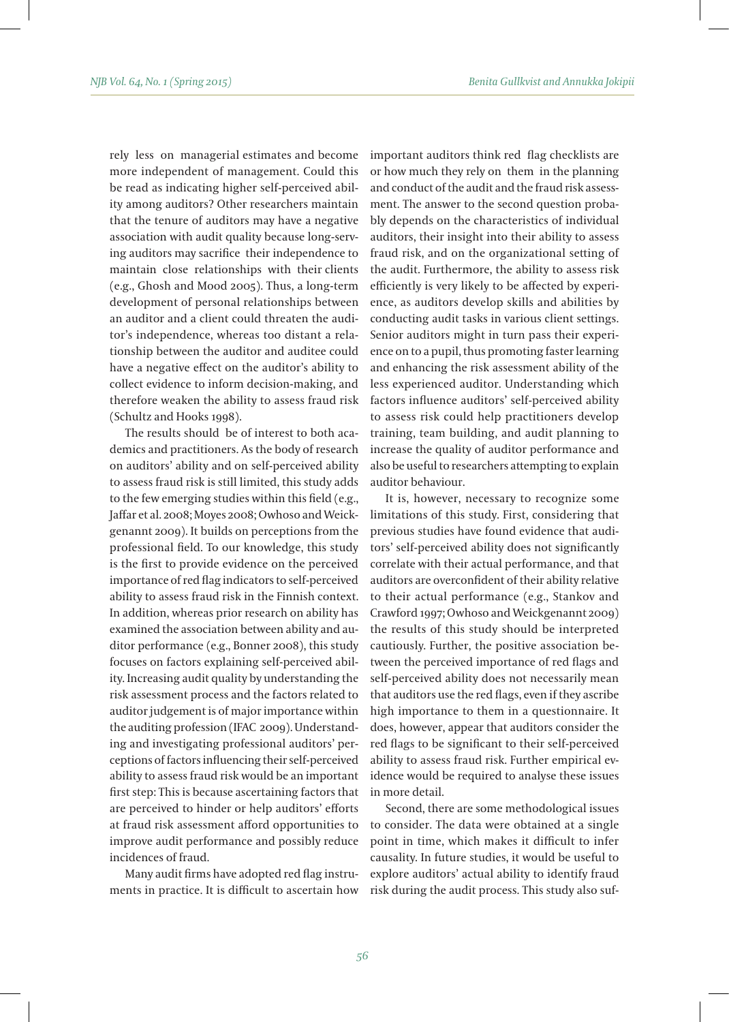rely less on managerial estimates and become more independent of management. Could this be read as indicating higher self-perceived ability among auditors? Other researchers maintain that the tenure of auditors may have a negative association with audit quality because long-serving auditors may sacrifice their independence to maintain close relationships with their clients (e.g., Ghosh and Mood 2005). Thus, a long-term development of personal relationships between an auditor and a client could threaten the auditor's independence, whereas too distant a relationship between the auditor and auditee could have a negative effect on the auditor's ability to collect evidence to inform decision-making, and therefore weaken the ability to assess fraud risk (Schultz and Hooks 1998).

The results should be of interest to both academics and practitioners. As the body of research on auditors' ability and on self-perceived ability to assess fraud risk is still limited, this study adds to the few emerging studies within this field (e.g., Jaffar et al. 2008; Moyes 2008; Owhoso and Weickgenannt 2009). It builds on perceptions from the professional field. To our knowledge, this study is the first to provide evidence on the perceived importance of red flag indicators to self-perceived ability to assess fraud risk in the Finnish context. In addition, whereas prior research on ability has examined the association between ability and auditor performance (e.g., Bonner 2008), this study focuses on factors explaining self-perceived ability. Increasing audit quality by understanding the risk assessment process and the factors related to auditor judgement is of major importance within the auditing profession (IFAC 2009). Understanding and investigating professional auditors' perceptions of factors influencing their self-perceived ability to assess fraud risk would be an important first step: This is because ascertaining factors that are perceived to hinder or help auditors' efforts at fraud risk assessment afford opportunities to improve audit performance and possibly reduce incidences of fraud.

Many audit firms have adopted red flag instruments in practice. It is difficult to ascertain how important auditors think red flag checklists are or how much they rely on them in the planning and conduct of the audit and the fraud risk assessment. The answer to the second question probably depends on the characteristics of individual auditors, their insight into their ability to assess fraud risk, and on the organizational setting of the audit. Furthermore, the ability to assess risk efficiently is very likely to be affected by experience, as auditors develop skills and abilities by conducting audit tasks in various client settings. Senior auditors might in turn pass their experience on to a pupil, thus promoting faster learning and enhancing the risk assessment ability of the less experienced auditor. Understanding which factors influence auditors' self-perceived ability to assess risk could help practitioners develop training, team building, and audit planning to increase the quality of auditor performance and also be useful to researchers attempting to explain auditor behaviour.

It is, however, necessary to recognize some limitations of this study. First, considering that previous studies have found evidence that auditors' self-perceived ability does not significantly correlate with their actual performance, and that auditors are overconfident of their ability relative to their actual performance (e.g., Stankov and Crawford 1997; Owhoso and Weickgenannt 2009) the results of this study should be interpreted cautiously. Further, the positive association between the perceived importance of red flags and self-perceived ability does not necessarily mean that auditors use the red flags, even if they ascribe high importance to them in a questionnaire. It does, however, appear that auditors consider the red flags to be significant to their self-perceived ability to assess fraud risk. Further empirical evidence would be required to analyse these issues in more detail.

Second, there are some methodological issues to consider. The data were obtained at a single point in time, which makes it difficult to infer causality. In future studies, it would be useful to explore auditors' actual ability to identify fraud risk during the audit process. This study also suf-

*56*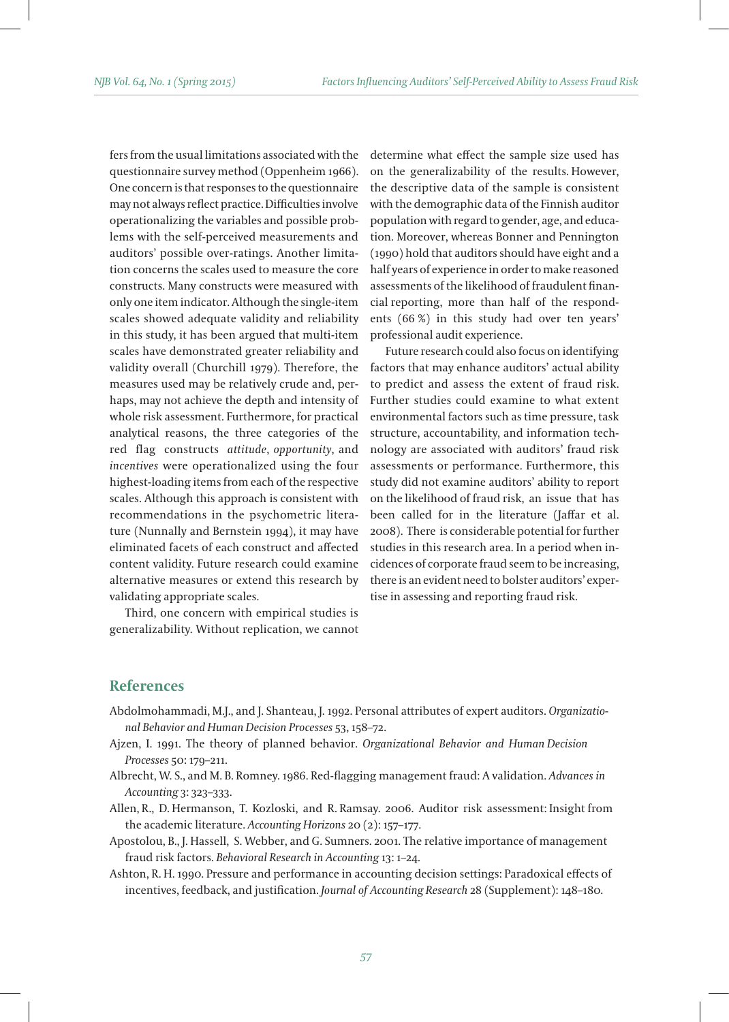fers from the usual limitations associated with the questionnaire survey method (Oppenheim 1966). One concern is that responses to the questionnaire may not always reflect practice. Difficulties involve operationalizing the variables and possible problems with the self-perceived measurements and auditors' possible over-ratings. Another limitation concerns the scales used to measure the core constructs. Many constructs were measured with only one item indicator. Although the single-item scales showed adequate validity and reliability in this study, it has been argued that multi-item scales have demonstrated greater reliability and validity overall (Churchill 1979). Therefore, the measures used may be relatively crude and, perhaps, may not achieve the depth and intensity of whole risk assessment. Furthermore, for practical analytical reasons, the three categories of the red flag constructs *attitude*, *opportunity*, and *incentives* were operationalized using the four highest-loading items from each of the respective scales. Although this approach is consistent with recommendations in the psychometric literature (Nunnally and Bernstein 1994), it may have eliminated facets of each construct and affected content validity. Future research could examine alternative measures or extend this research by validating appropriate scales.

Third, one concern with empirical studies is generalizability. Without replication, we cannot determine what effect the sample size used has on the generalizability of the results. However, the descriptive data of the sample is consistent with the demographic data of the Finnish auditor population with regard to gender, age, and education. Moreover, whereas Bonner and Pennington (1990) hold that auditors should have eight and a half years of experience in order to make reasoned assessments of the likelihood of fraudulent financial reporting, more than half of the respondents (66 %) in this study had over ten years' professional audit experience.

Future research could also focus on identifying factors that may enhance auditors' actual ability to predict and assess the extent of fraud risk. Further studies could examine to what extent environmental factors such as time pressure, task structure, accountability, and information technology are associated with auditors' fraud risk assessments or performance. Furthermore, this study did not examine auditors' ability to report on the likelihood of fraud risk, an issue that has been called for in the literature (Jaffar et al. 2008). There is considerable potential for further studies in this research area. In a period when incidences of corporate fraud seem to be increasing, there is an evident need to bolster auditors' expertise in assessing and reporting fraud risk.

## **References**

- Abdolmohammadi, M.J., and J. Shanteau, J. 1992. Personal attributes of expert auditors. *Organizational Behavior and Human Decision Processes* 53, 158–72.
- Ajzen, I. 1991. The theory of planned behavior. *Organizational Behavior and Human Decision Processes* 50: 179–211.
- Albrecht, W. S., and M. B. Romney. 1986. Red-flagging management fraud: A validation. *Advances in Accounting* 3: 323–333.
- Allen, R., D. Hermanson, T. Kozloski, and R. Ramsay. 2006. Auditor risk assessment: Insight from the academic literature. *Accounting Horizons* 20 (2): 157–177.
- Apostolou, B., J. Hassell, S. Webber, and G. Sumners. 2001. The relative importance of management fraud risk factors. *Behavioral Research in Accounting* 13: 1–24.
- Ashton, R. H. 1990. Pressure and performance in accounting decision settings: Paradoxical effects of incentives, feedback, and justification. *Journal of Accounting Research* 28 (Supplement): 148–180.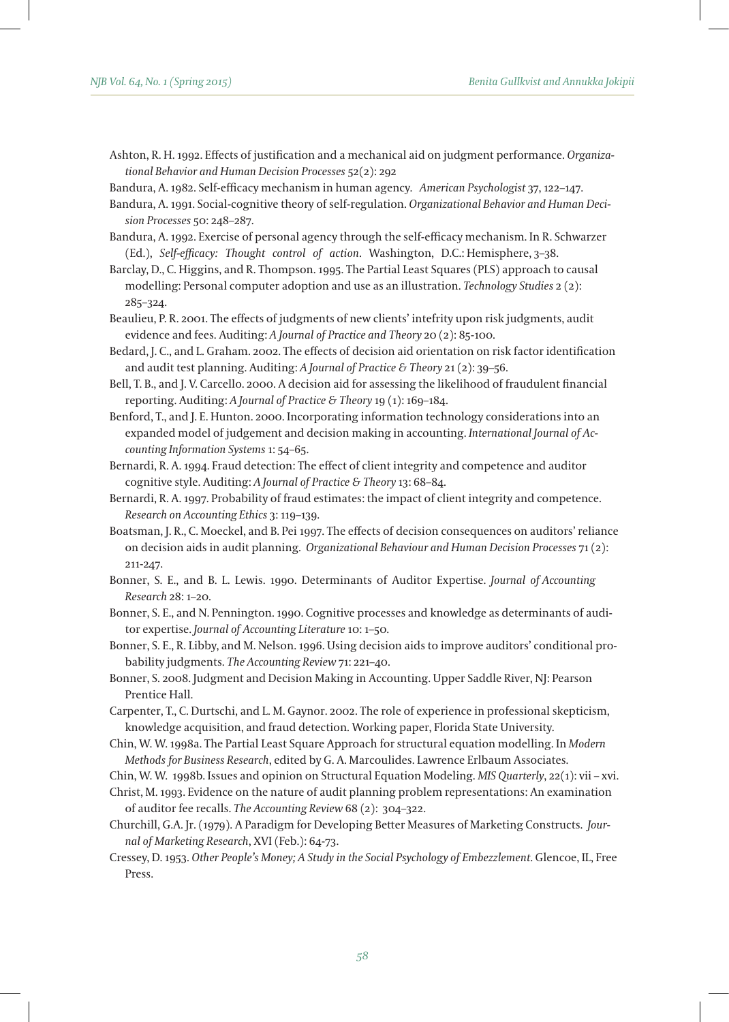- Ashton, R. H. 1992. Effects of justification and a mechanical aid on judgment performance. *Organizational Behavior and Human Decision Processes* 52(2): 292
- Bandura, A. 1982. Self-efficacy mechanism in human agency. *American Psychologist* 37, 122–147.
- Bandura, A. 1991. Social-cognitive theory of self-regulation. *Organizational Behavior and Human Decision Processes* 50: 248–287.
- Bandura, A. 1992. Exercise of personal agency through the self-efficacy mechanism. In R. Schwarzer (Ed.), *Self-efficacy: Thought control of action*. Washington, D.C.: Hemisphere, 3–38.
- Barclay, D., C. Higgins, and R. Thompson. 1995. The Partial Least Squares (PLS) approach to causal modelling: Personal computer adoption and use as an illustration. *Technology Studies* 2 (2): 285–324.
- Beaulieu, P. R. 2001. The effects of judgments of new clients' intefrity upon risk judgments, audit evidence and fees. Auditing: *A Journal of Practice and Theory* 20 (2): 85-100.
- Bedard, J. C., and L. Graham. 2002. The effects of decision aid orientation on risk factor identification and audit test planning. Auditing: *A Journal of Practice & Theory* 21 (2): 39–56.
- Bell, T. B., and J. V. Carcello. 2000. A decision aid for assessing the likelihood of fraudulent financial reporting. Auditing: *A Journal of Practice & Theory* 19 (1): 169–184.
- Benford, T., and J. E. Hunton. 2000. Incorporating information technology considerations into an expanded model of judgement and decision making in accounting. *International Journal of Accounting Information Systems* 1: 54–65.
- Bernardi, R. A. 1994. Fraud detection: The effect of client integrity and competence and auditor cognitive style. Auditing: *A Journal of Practice & Theory* 13: 68–84.
- Bernardi, R. A. 1997. Probability of fraud estimates: the impact of client integrity and competence. *Research on Accounting Ethics* 3: 119–139.
- Boatsman, J. R., C. Moeckel, and B. Pei 1997. The effects of decision consequences on auditors' reliance on decision aids in audit planning. *Organizational Behaviour and Human Decision Processes* 71 (2): 211-247.
- Bonner, S. E., and B. L. Lewis. 1990. Determinants of Auditor Expertise. *Journal of Accounting Research* 28: 1–20.
- Bonner, S. E., and N. Pennington. 1990. Cognitive processes and knowledge as determinants of auditor expertise. *Journal of Accounting Literature* 10: 1–50.
- Bonner, S. E., R. Libby, and M. Nelson. 1996. Using decision aids to improve auditors' conditional probability judgments. *The Accounting Review* 71: 221–40.
- Bonner, S. 2008. Judgment and Decision Making in Accounting. Upper Saddle River, NJ: Pearson Prentice Hall.
- Carpenter, T., C. Durtschi, and L. M. Gaynor. 2002. The role of experience in professional skepticism, knowledge acquisition, and fraud detection. Working paper, Florida State University.
- Chin, W. W. 1998a. The Partial Least Square Approach for structural equation modelling. In *Modern Methods for Business Research*, edited by G. A. Marcoulides. Lawrence Erlbaum Associates.
- Chin, W. W. 1998b. Issues and opinion on Structural Equation Modeling. *MIS Quarterly*, 22(1): vii xvi.
- Christ, M. 1993. Evidence on the nature of audit planning problem representations: An examination of auditor fee recalls. *The Accounting Review* 68 (2): 304–322.
- Churchill, G.A. Jr. (1979). A Paradigm for Developing Better Measures of Marketing Constructs. *Journal of Marketing Research*, XVI (Feb.): 64-73.
- Cressey, D. 1953. *Other People's Money; A Study in the Social Psychology of Embezzlement*. Glencoe, IL, Free Press.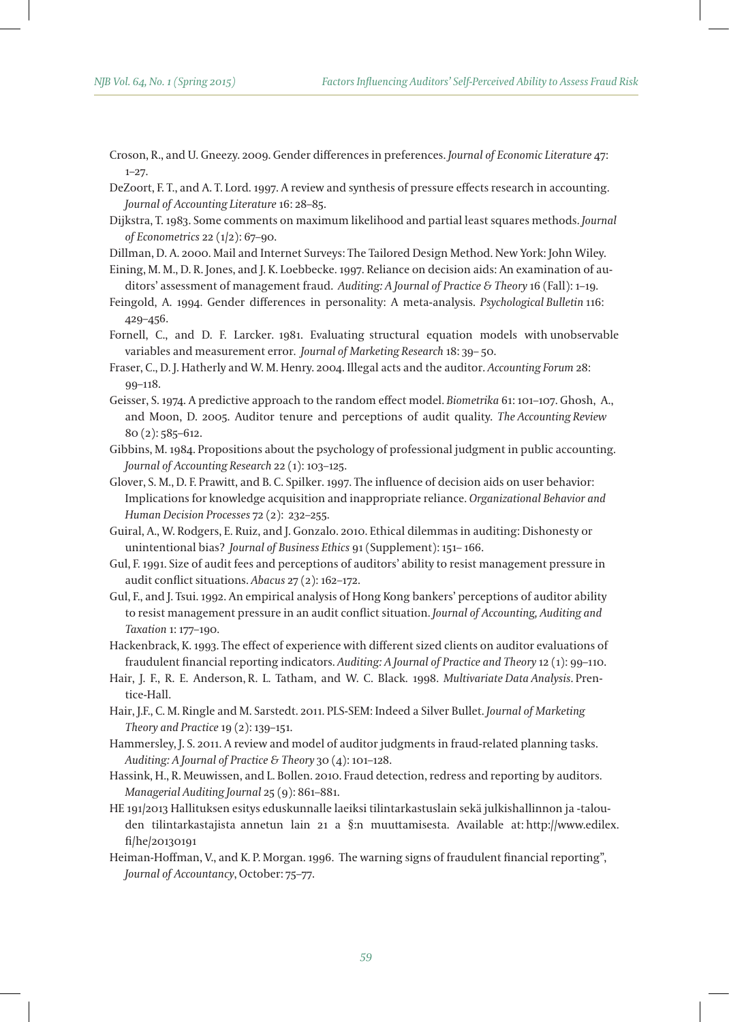- Croson, R., and U. Gneezy. 2009. Gender differences in preferences. *Journal of Economic Literature* 47: 1–27.
- DeZoort, F. T., and A. T. Lord. 1997. A review and synthesis of pressure effects research in accounting. *Journal of Accounting Literature* 16: 28–85.
- Dijkstra, T. 1983. Some comments on maximum likelihood and partial least squares methods. *Journal of Econometrics* 22 (1/2): 67–90.
- Dillman, D. A. 2000. Mail and Internet Surveys: The Tailored Design Method. New York: John Wiley.
- Eining, M. M., D. R. Jones, and J. K. Loebbecke. 1997. Reliance on decision aids: An examination of auditors' assessment of management fraud. *Auditing: A Journal of Practice & Theory* 16 (Fall): 1–19.
- Feingold, A. 1994. Gender differences in personality: A meta-analysis. *Psychological Bulletin* 116: 429–456.
- Fornell, C., and D. F. Larcker. 1981. Evaluating structural equation models with unobservable variables and measurement error. *Journal of Marketing Research* 18: 39– 50.
- Fraser, C., D. J. Hatherly and W. M. Henry. 2004. Illegal acts and the auditor. *Accounting Forum* 28: 99–118.
- Geisser, S. 1974. A predictive approach to the random effect model. *Biometrika* 61: 101–107. Ghosh, A., and Moon, D. 2005. Auditor tenure and perceptions of audit quality. *The Accounting Review*  80 (2): 585–612.
- Gibbins, M. 1984. Propositions about the psychology of professional judgment in public accounting. *Journal of Accounting Research* 22 (1): 103–125.
- Glover, S. M., D. F. Prawitt, and B. C. Spilker. 1997. The influence of decision aids on user behavior: Implications for knowledge acquisition and inappropriate reliance. *Organizational Behavior and Human Decision Processes* 72 (2): 232–255.
- Guiral, A., W. Rodgers, E. Ruiz, and J. Gonzalo. 2010. Ethical dilemmas in auditing: Dishonesty or unintentional bias? *Journal of Business Ethics* 91 (Supplement): 151– 166.
- Gul, F. 1991. Size of audit fees and perceptions of auditors' ability to resist management pressure in audit conflict situations. *Abacus* 27 (2): 162–172.
- Gul, F., and J. Tsui. 1992. An empirical analysis of Hong Kong bankers' perceptions of auditor ability to resist management pressure in an audit conflict situation. *Journal of Accounting, Auditing and Taxation* 1: 177–190.
- Hackenbrack, K. 1993. The effect of experience with different sized clients on auditor evaluations of fraudulent financial reporting indicators. *Auditing: A Journal of Practice and Theory* 12 (1): 99–110.
- Hair, J. F., R. E. Anderson, R. L. Tatham, and W. C. Black. 1998. *Multivariate Data Analysis*. Prentice-Hall.
- Hair, J.F., C. M. Ringle and M. Sarstedt. 2011. PLS-SEM: Indeed a Silver Bullet. *Journal of Marketing Theory and Practice* 19 (2): 139–151.
- Hammersley, J. S. 2011. A review and model of auditor judgments in fraud-related planning tasks. *Auditing: A Journal of Practice & Theory* 30 (4): 101–128.
- Hassink, H., R. Meuwissen, and L. Bollen. 2010. Fraud detection, redress and reporting by auditors. *Managerial Auditing Journal* 25 (9): 861–881.
- HE 191/2013 Hallituksen esitys eduskunnalle laeiksi tilintarkastuslain sekä julkishallinnon ja -talouden tilintarkastajista annetun lain 21 a §:n muuttamisesta. Available at: http://www.edilex. fi/he/20130191
- Heiman-Hoffman, V., and K. P. Morgan. 1996. The warning signs of fraudulent financial reporting", *Journal of Accountancy*, October: 75–77.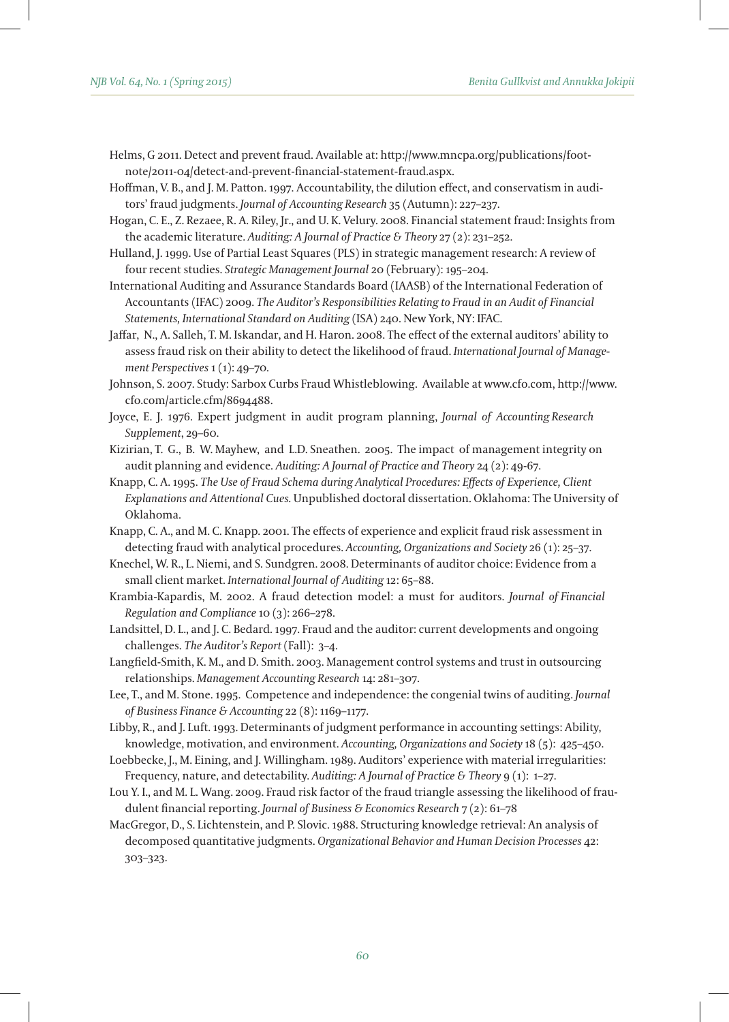- Helms, G 2011. Detect and prevent fraud. Available at: http://www.mncpa.org/publications/footnote/2011-04/detect-and-prevent-financial-statement-fraud.aspx.
- Hoffman, V. B., and J. M. Patton. 1997. Accountability, the dilution effect, and conservatism in auditors' fraud judgments. *Journal of Accounting Research* 35 (Autumn): 227–237.
- Hogan, C. E., Z. Rezaee, R. A. Riley, Jr., and U. K. Velury. 2008. Financial statement fraud: Insights from the academic literature. *Auditing: A Journal of Practice & Theory* 27 (2): 231–252.
- Hulland, J. 1999. Use of Partial Least Squares (PLS) in strategic management research: A review of four recent studies. *Strategic Management Journal* 20 (February): 195–204.
- International Auditing and Assurance Standards Board (IAASB) of the International Federation of Accountants (IFAC) 2009. *The Auditor's Responsibilities Relating to Fraud in an Audit of Financial Statements, International Standard on Auditing* (ISA) 240. New York, NY: IFAC.
- Jaffar, N., A. Salleh, T. M. Iskandar, and H. Haron. 2008. The effect of the external auditors' ability to assess fraud risk on their ability to detect the likelihood of fraud. *International Journal of Management Perspectives* 1 (1): 49–70.
- Johnson, S. 2007. Study: Sarbox Curbs Fraud Whistleblowing. Available at www.cfo.com, http://www. cfo.com/article.cfm/8694488.
- Joyce, E. J. 1976. Expert judgment in audit program planning, *Journal of Accounting Research Supplement*, 29–60.
- Kizirian, T. G., B. W. Mayhew, and L.D. Sneathen. 2005. The impact of management integrity on audit planning and evidence. *Auditing: A Journal of Practice and Theory* 24 (2): 49-67.
- Knapp, C. A. 1995. *The Use of Fraud Schema during Analytical Procedures: Effects of Experience, Client Explanations and Attentional Cues.* Unpublished doctoral dissertation. Oklahoma: The University of Oklahoma.
- Knapp, C. A., and M. C. Knapp. 2001. The effects of experience and explicit fraud risk assessment in detecting fraud with analytical procedures. *Accounting, Organizations and Society* 26 (1): 25–37.
- Knechel, W. R., L. Niemi, and S. Sundgren. 2008. Determinants of auditor choice: Evidence from a small client market. *International Journal of Auditing* 12: 65–88.
- Krambia-Kapardis, M. 2002. A fraud detection model: a must for auditors. *Journal of Financial Regulation and Compliance* 10 (3): 266–278.
- Landsittel, D. L., and J. C. Bedard. 1997. Fraud and the auditor: current developments and ongoing challenges. *The Auditor's Report* (Fall): 3–4.
- Langfield-Smith, K. M., and D. Smith. 2003. Management control systems and trust in outsourcing relationships. *Management Accounting Research* 14: 281–307.
- Lee, T., and M. Stone. 1995. Competence and independence: the congenial twins of auditing. *Journal of Business Finance & Accounting* 22 (8): 1169–1177.
- Libby, R., and J. Luft. 1993. Determinants of judgment performance in accounting settings: Ability, knowledge, motivation, and environment. *Accounting, Organizations and Society* 18 (5): 425–450.
- Loebbecke, J., M. Eining, and J. Willingham. 1989. Auditors' experience with material irregularities: Frequency, nature, and detectability. *Auditing: A Journal of Practice & Theory* 9 (1): 1–27.
- Lou Y. I., and M. L. Wang. 2009. Fraud risk factor of the fraud triangle assessing the likelihood of fraudulent financial reporting. *Journal of Business & Economics Research* 7 (2): 61–78
- MacGregor, D., S. Lichtenstein, and P. Slovic. 1988. Structuring knowledge retrieval: An analysis of decomposed quantitative judgments. *Organizational Behavior and Human Decision Processes* 42: 303–323.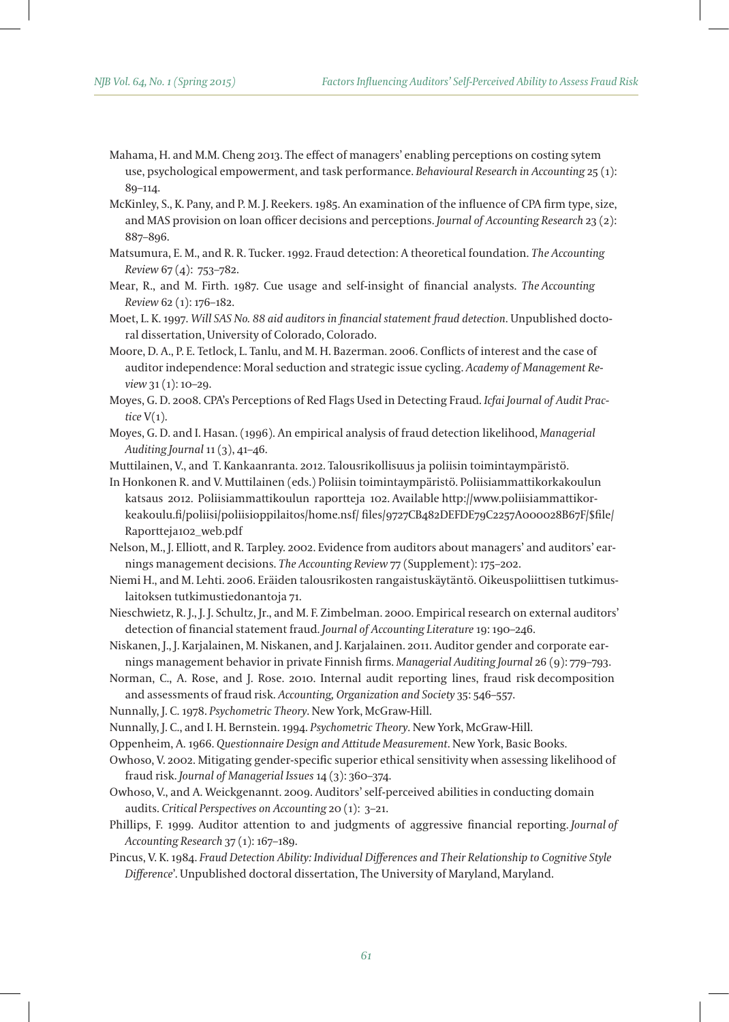- Mahama, H. and M.M. Cheng 2013. The effect of managers' enabling perceptions on costing sytem use, psychological empowerment, and task performance. *Behavioural Research in Accounting* 25 (1): 89–114.
- McKinley, S., K. Pany, and P. M. J. Reekers. 1985. An examination of the influence of CPA firm type, size, and MAS provision on loan officer decisions and perceptions. *Journal of Accounting Research* 23 (2): 887–896.
- Matsumura, E. M., and R. R. Tucker. 1992. Fraud detection: A theoretical foundation. *The Accounting Review* 67 (4): 753–782.
- Mear, R., and M. Firth. 1987. Cue usage and self-insight of financial analysts. *The Accounting Review* 62 (1): 176–182.
- Moet, L. K. 1997. *Will SAS No. 88 aid auditors in financial statement fraud detection*. Unpublished doctoral dissertation, University of Colorado, Colorado.
- Moore, D. A., P. E. Tetlock, L. Tanlu, and M. H. Bazerman. 2006. Conflicts of interest and the case of auditor independence: Moral seduction and strategic issue cycling. *Academy of Management Review* 31 (1): 10–29.
- Moyes, G. D. 2008. CPA's Perceptions of Red Flags Used in Detecting Fraud. *Icfai Journal of Audit Practice* V(1).
- Moyes, G. D. and I. Hasan. (1996). An empirical analysis of fraud detection likelihood, *Managerial Auditing Journal* 11 (3), 41–46.
- Muttilainen, V., and T. Kankaanranta. 2012. Talousrikollisuus ja poliisin toimintaympäristö.
- In Honkonen R. and V. Muttilainen (eds.) Poliisin toimintaympäristö. Poliisiammattikorkakoulun katsaus 2012. Poliisiammattikoulun raportteja 102. Available http://www.poliisiammattikorkeakoulu.fi/poliisi/poliisioppilaitos/home.nsf/ files/9727CB482DEFDE79C2257A000028B67F/\$file/ Raportteja102\_web.pdf
- Nelson, M., J. Elliott, and R. Tarpley. 2002. Evidence from auditors about managers' and auditors' earnings management decisions. *The Accounting Review* 77 (Supplement): 175–202.
- Niemi H., and M. Lehti. 2006. Eräiden talousrikosten rangaistuskäytäntö. Oikeuspoliittisen tutkimuslaitoksen tutkimustiedonantoja 71.
- Nieschwietz, R. J., J. J. Schultz, Jr., and M. F. Zimbelman. 2000. Empirical research on external auditors' detection of financial statement fraud. *Journal of Accounting Literature* 19: 190–246.
- Niskanen, J., J. Karjalainen, M. Niskanen, and J. Karjalainen. 2011. Auditor gender and corporate earnings management behavior in private Finnish firms. *Managerial Auditing Journal* 26 (9): 779–793.
- Norman, C., A. Rose, and J. Rose. 2010. Internal audit reporting lines, fraud risk decomposition and assessments of fraud risk. *Accounting, Organization and Society* 35: 546–557.
- Nunnally, J. C. 1978. *Psychometric Theory*. New York, McGraw-Hill.
- Nunnally, J. C., and I. H. Bernstein. 1994. *Psychometric Theory*. New York, McGraw-Hill.
- Oppenheim, A. 1966. *Questionnaire Design and Attitude Measurement*. New York, Basic Books.
- Owhoso, V. 2002. Mitigating gender-specific superior ethical sensitivity when assessing likelihood of fraud risk. *Journal of Managerial Issues* 14 (3): 360–374.
- Owhoso, V., and A. Weickgenannt. 2009. Auditors' self-perceived abilities in conducting domain audits. *Critical Perspectives on Accounting* 20 (1): 3–21.
- Phillips, F. 1999. Auditor attention to and judgments of aggressive financial reporting. *Journal of Accounting Research* 37 (1): 167–189.
- Pincus, V. K. 1984. *Fraud Detection Ability: Individual Differences and Their Relationship to Cognitive Style Difference*'. Unpublished doctoral dissertation, The University of Maryland, Maryland.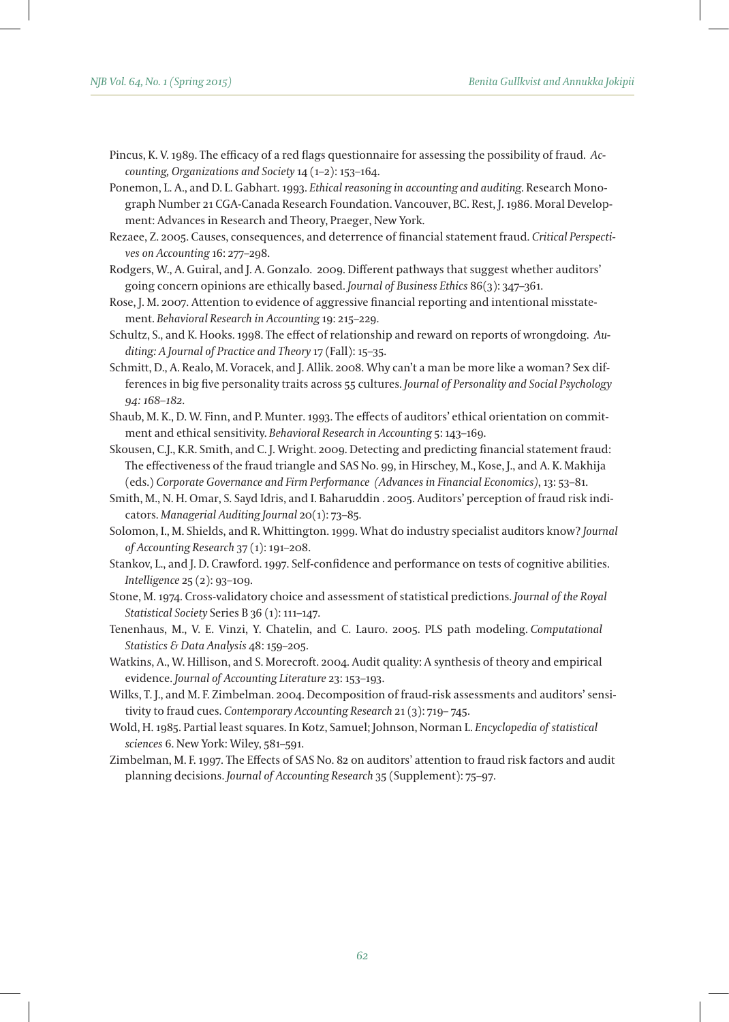- Pincus, K. V. 1989. The efficacy of a red flags questionnaire for assessing the possibility of fraud. *Accounting, Organizations and Society* 14 (1–2): 153–164.
- Ponemon, L. A., and D. L. Gabhart. 1993. *Ethical reasoning in accounting and auditing*. Research Monograph Number 21 CGA-Canada Research Foundation. Vancouver, BC. Rest, J. 1986. Moral Development: Advances in Research and Theory, Praeger, New York.
- Rezaee, Z. 2005. Causes, consequences, and deterrence of financial statement fraud. *Critical Perspectives on Accounting* 16: 277–298.
- Rodgers, W., A. Guiral, and J. A. Gonzalo. 2009. Different pathways that suggest whether auditors' going concern opinions are ethically based. *Journal of Business Ethics* 86(3): 347–361.
- Rose, J. M. 2007. Attention to evidence of aggressive financial reporting and intentional misstatement. *Behavioral Research in Accounting* 19: 215–229.
- Schultz, S., and K. Hooks. 1998. The effect of relationship and reward on reports of wrongdoing. *Auditing: A Journal of Practice and Theory* 17 (Fall): 15–35.
- Schmitt, D., A. Realo, M. Voracek, and J. Allik. 2008. Why can't a man be more like a woman? Sex differences in big five personality traits across 55 cultures. *Journal of Personality and Social Psychology 94: 168–182.*
- Shaub, M. K., D. W. Finn, and P. Munter. 1993. The effects of auditors' ethical orientation on commitment and ethical sensitivity. *Behavioral Research in Accounting* 5: 143–169.
- Skousen, C.J., K.R. Smith, and C. J. Wright. 2009. Detecting and predicting financial statement fraud: The effectiveness of the fraud triangle and SAS No. 99, in Hirschey, M., Kose, J., and A. K. Makhija (eds.) *Corporate Governance and Firm Performance (Advances in Financial Economics)*, 13: 53–81.
- Smith, M., N. H. Omar, S. Sayd Idris, and I. Baharuddin . 2005. Auditors' perception of fraud risk indicators. *Managerial Auditing Journal* 20(1): 73–85.
- Solomon, I., M. Shields, and R. Whittington. 1999. What do industry specialist auditors know? *Journal of Accounting Research* 37 (1): 191–208.
- Stankov, L., and J. D. Crawford. 1997. Self-confidence and performance on tests of cognitive abilities. *Intelligence* 25 (2): 93–109.
- Stone, M. 1974. Cross-validatory choice and assessment of statistical predictions. *Journal of the Royal Statistical Society* Series B 36 (1): 111–147.
- Tenenhaus, M., V. E. Vinzi, Y. Chatelin, and C. Lauro. 2005. PLS path modeling. *Computational Statistics & Data Analysis* 48: 159–205.
- Watkins, A., W. Hillison, and S. Morecroft. 2004. Audit quality: A synthesis of theory and empirical evidence. *Journal of Accounting Literature* 23: 153–193.
- Wilks, T. J., and M. F. Zimbelman. 2004. Decomposition of fraud-risk assessments and auditors' sensitivity to fraud cues. *Contemporary Accounting Research* 21 (3): 719– 745.
- Wold, H. 1985. Partial least squares. In Kotz, Samuel; Johnson, Norman L. *Encyclopedia of statistical sciences* 6. New York: Wiley, 581–591.
- Zimbelman, M. F. 1997. The Effects of SAS No. 82 on auditors' attention to fraud risk factors and audit planning decisions. *Journal of Accounting Research* 35 (Supplement): 75–97.